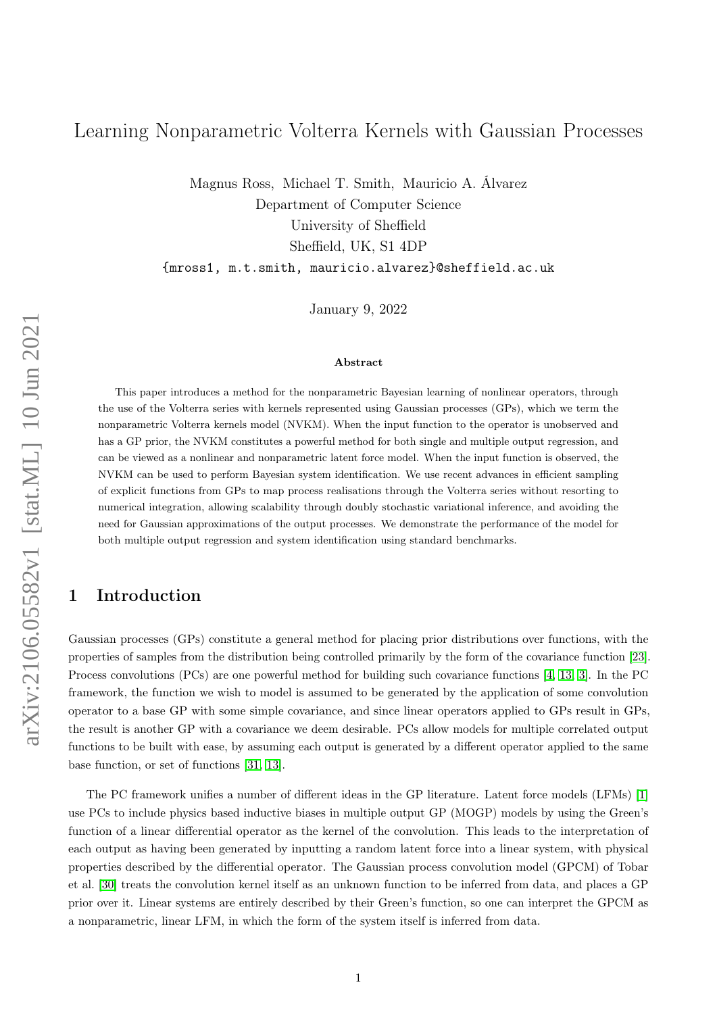# <span id="page-0-0"></span>Learning Nonparametric Volterra Kernels with Gaussian Processes

Magnus Ross, Michael T. Smith, Mauricio A. Álvarez Department of Computer Science University of Sheffield Sheffield, UK, S1 4DP

{mross1, m.t.smith, mauricio.alvarez}@sheffield.ac.uk

January 9, 2022

#### Abstract

This paper introduces a method for the nonparametric Bayesian learning of nonlinear operators, through the use of the Volterra series with kernels represented using Gaussian processes (GPs), which we term the nonparametric Volterra kernels model (NVKM). When the input function to the operator is unobserved and has a GP prior, the NVKM constitutes a powerful method for both single and multiple output regression, and can be viewed as a nonlinear and nonparametric latent force model. When the input function is observed, the NVKM can be used to perform Bayesian system identification. We use recent advances in efficient sampling of explicit functions from GPs to map process realisations through the Volterra series without resorting to numerical integration, allowing scalability through doubly stochastic variational inference, and avoiding the need for Gaussian approximations of the output processes. We demonstrate the performance of the model for both multiple output regression and system identification using standard benchmarks.

## 1 Introduction

Gaussian processes (GPs) constitute a general method for placing prior distributions over functions, with the properties of samples from the distribution being controlled primarily by the form of the covariance function [\[23\]](#page-11-0). Process convolutions (PCs) are one powerful method for building such covariance functions [\[4,](#page-10-0) [13,](#page-10-1) [3\]](#page-10-2). In the PC framework, the function we wish to model is assumed to be generated by the application of some convolution operator to a base GP with some simple covariance, and since linear operators applied to GPs result in GPs, the result is another GP with a covariance we deem desirable. PCs allow models for multiple correlated output functions to be built with ease, by assuming each output is generated by a different operator applied to the same base function, or set of functions [\[31,](#page-11-1) [13\]](#page-10-1).

The PC framework unifies a number of different ideas in the GP literature. Latent force models (LFMs) [\[1\]](#page-10-3) use PCs to include physics based inductive biases in multiple output GP (MOGP) models by using the Green's function of a linear differential operator as the kernel of the convolution. This leads to the interpretation of each output as having been generated by inputting a random latent force into a linear system, with physical properties described by the differential operator. The Gaussian process convolution model (GPCM) of Tobar et al. [\[30\]](#page-11-2) treats the convolution kernel itself as an unknown function to be inferred from data, and places a GP prior over it. Linear systems are entirely described by their Green's function, so one can interpret the GPCM as a nonparametric, linear LFM, in which the form of the system itself is inferred from data.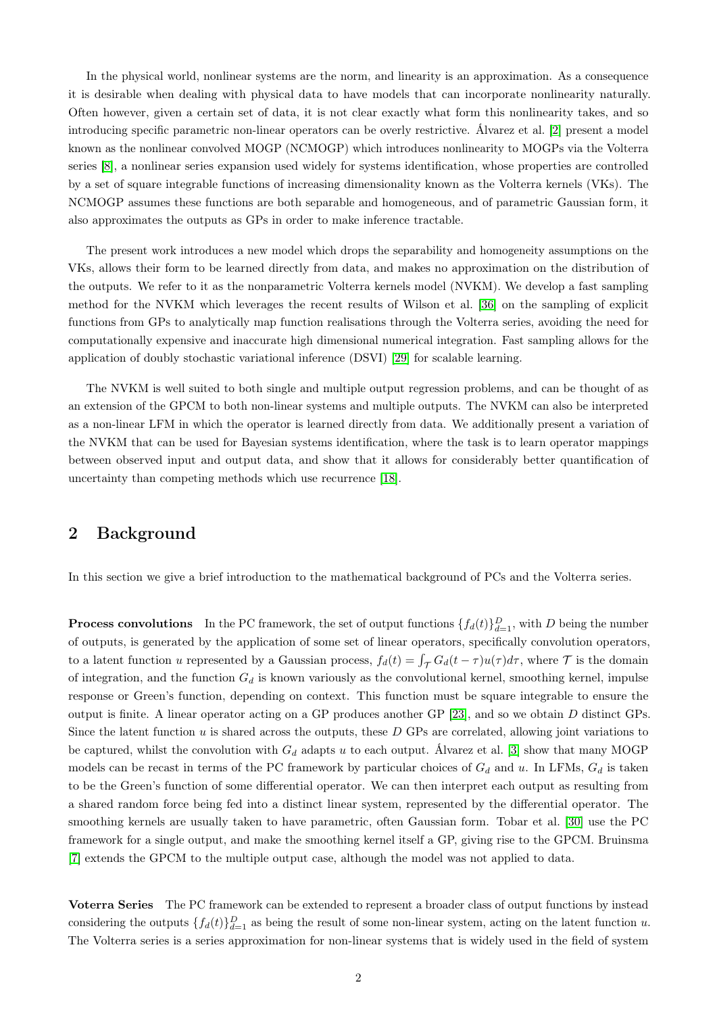In the physical world, nonlinear systems are the norm, and linearity is an approximation. As a consequence it is desirable when dealing with physical data to have models that can incorporate nonlinearity naturally. Often however, given a certain set of data, it is not clear exactly what form this nonlinearity takes, and so introducing specific parametric non-linear operators can be overly restrictive. Álvarez et al. [\[2\]](#page-10-4) present a model known as the nonlinear convolved MOGP (NCMOGP) which introduces nonlinearity to MOGPs via the Volterra series [\[8\]](#page-10-5), a nonlinear series expansion used widely for systems identification, whose properties are controlled by a set of square integrable functions of increasing dimensionality known as the Volterra kernels (VKs). The NCMOGP assumes these functions are both separable and homogeneous, and of parametric Gaussian form, it also approximates the outputs as GPs in order to make inference tractable.

The present work introduces a new model which drops the separability and homogeneity assumptions on the VKs, allows their form to be learned directly from data, and makes no approximation on the distribution of the outputs. We refer to it as the nonparametric Volterra kernels model (NVKM). We develop a fast sampling method for the NVKM which leverages the recent results of Wilson et al. [\[36\]](#page-11-3) on the sampling of explicit functions from GPs to analytically map function realisations through the Volterra series, avoiding the need for computationally expensive and inaccurate high dimensional numerical integration. Fast sampling allows for the application of doubly stochastic variational inference (DSVI) [\[29\]](#page-11-4) for scalable learning.

The NVKM is well suited to both single and multiple output regression problems, and can be thought of as an extension of the GPCM to both non-linear systems and multiple outputs. The NVKM can also be interpreted as a non-linear LFM in which the operator is learned directly from data. We additionally present a variation of the NVKM that can be used for Bayesian systems identification, where the task is to learn operator mappings between observed input and output data, and show that it allows for considerably better quantification of uncertainty than competing methods which use recurrence [\[18\]](#page-11-5).

# 2 Background

In this section we give a brief introduction to the mathematical background of PCs and the Volterra series.

<span id="page-1-0"></span>**Process convolutions** In the PC framework, the set of output functions  $\{f_d(t)\}_{d=1}^D$ , with D being the number of outputs, is generated by the application of some set of linear operators, specifically convolution operators, to a latent function u represented by a Gaussian process,  $f_d(t) = \int_{\mathcal{T}} G_d(t - \tau) u(\tau) d\tau$ , where  $\mathcal{T}$  is the domain of integration, and the function  $G_d$  is known variously as the convolutional kernel, smoothing kernel, impulse response or Green's function, depending on context. This function must be square integrable to ensure the output is finite. A linear operator acting on a GP produces another GP [\[23\]](#page-11-0), and so we obtain D distinct GPs. Since the latent function  $u$  is shared across the outputs, these  $D$  GPs are correlated, allowing joint variations to be captured, whilst the convolution with  $G_d$  adapts u to each output. Álvarez et al. [\[3\]](#page-10-2) show that many MOGP models can be recast in terms of the PC framework by particular choices of  $G_d$  and u. In LFMs,  $G_d$  is taken to be the Green's function of some differential operator. We can then interpret each output as resulting from a shared random force being fed into a distinct linear system, represented by the differential operator. The smoothing kernels are usually taken to have parametric, often Gaussian form. Tobar et al. [\[30\]](#page-11-2) use the PC framework for a single output, and make the smoothing kernel itself a GP, giving rise to the GPCM. Bruinsma [\[7\]](#page-10-6) extends the GPCM to the multiple output case, although the model was not applied to data.

Voterra Series The PC framework can be extended to represent a broader class of output functions by instead considering the outputs  $\{f_d(t)\}_{d=1}^D$  as being the result of some non-linear system, acting on the latent function u. The Volterra series is a series approximation for non-linear systems that is widely used in the field of system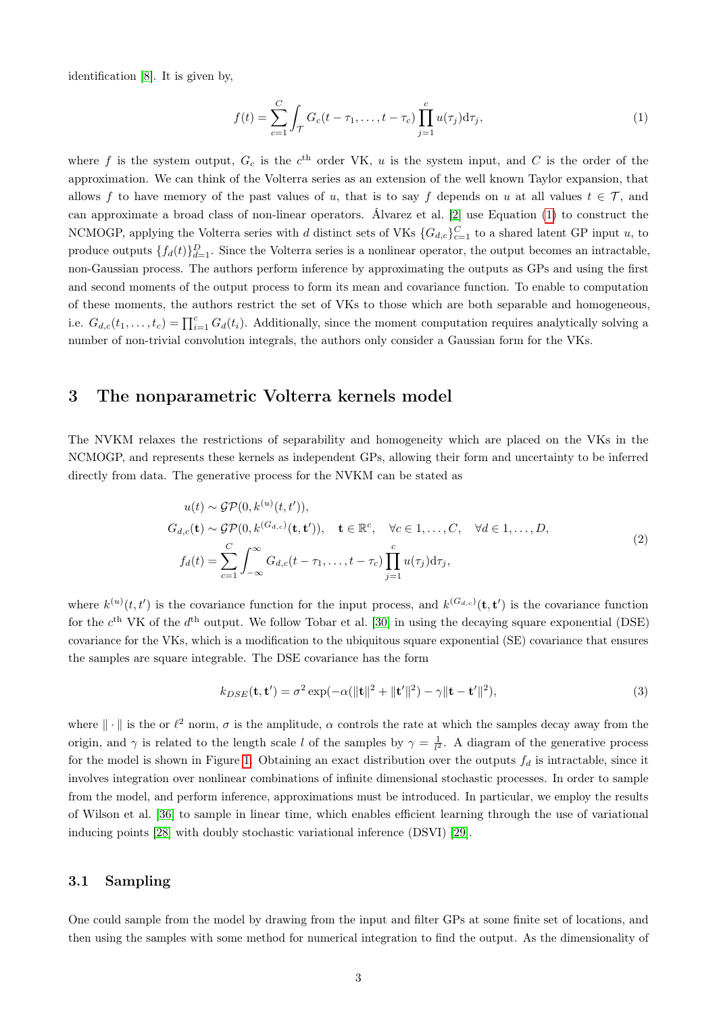identification [\[8\]](#page-10-5). It is given by,

<span id="page-2-0"></span>
$$
f(t) = \sum_{c=1}^{C} \int_{\mathcal{T}} G_c(t - \tau_1, \dots, t - \tau_c) \prod_{j=1}^{c} u(\tau_j) d\tau_j,
$$
 (1)

where f is the system output,  $G_c$  is the  $c<sup>th</sup>$  order VK, u is the system input, and C is the order of the approximation. We can think of the Volterra series as an extension of the well known Taylor expansion, that allows f to have memory of the past values of u, that is to say f depends on u at all values  $t \in \mathcal{T}$ , and can approximate a broad class of non-linear operators. Álvarez et al. [\[2\]](#page-10-4) use Equation [\(1\)](#page-2-0) to construct the NCMOGP, applying the Volterra series with d distinct sets of VKs  $\{G_{d,c}\}_{c=1}^C$  to a shared latent GP input u, to produce outputs  $\{f_d(t)\}_{d=1}^D$ . Since the Volterra series is a nonlinear operator, the output becomes an intractable, non-Gaussian process. The authors perform inference by approximating the outputs as GPs and using the first and second moments of the output process to form its mean and covariance function. To enable to computation of these moments, the authors restrict the set of VKs to those which are both separable and homogeneous, i.e.  $G_{d,c}(t_1,\ldots,t_c) = \prod_{i=1}^c G_d(t_i)$ . Additionally, since the moment computation requires analytically solving a number of non-trivial convolution integrals, the authors only consider a Gaussian form for the VKs.

### 3 The nonparametric Volterra kernels model

The NVKM relaxes the restrictions of separability and homogeneity which are placed on the VKs in the NCMOGP, and represents these kernels as independent GPs, allowing their form and uncertainty to be inferred directly from data. The generative process for the NVKM can be stated as

<span id="page-2-1"></span>
$$
u(t) \sim \mathcal{GP}(0, k^{(u)}(t, t')),
$$
  
\n
$$
G_{d,c}(\mathbf{t}) \sim \mathcal{GP}(0, k^{(G_{d,c})}(\mathbf{t}, \mathbf{t}')), \quad \mathbf{t} \in \mathbb{R}^c, \quad \forall c \in 1, ..., C, \quad \forall d \in 1, ..., D,
$$
  
\n
$$
f_d(t) = \sum_{c=1}^C \int_{-\infty}^{\infty} G_{d,c}(t - \tau_1, ..., t - \tau_c) \prod_{j=1}^c u(\tau_j) d\tau_j,
$$
\n(2)

where  $k^{(u)}(t,t')$  is the covariance function for the input process, and  $k^{(G_{d,c})}(t,t')$  is the covariance function for the  $c<sup>th</sup>$  VK of the  $d<sup>th</sup>$  output. We follow Tobar et al. [\[30\]](#page-11-2) in using the decaying square exponential (DSE) covariance for the VKs, which is a modification to the ubiquitous square exponential (SE) covariance that ensures the samples are square integrable. The DSE covariance has the form

$$
k_{DSE}(\mathbf{t}, \mathbf{t}') = \sigma^2 \exp(-\alpha (\|\mathbf{t}\|^2 + \|\mathbf{t}'\|^2) - \gamma \|\mathbf{t} - \mathbf{t}'\|^2),\tag{3}
$$

where  $\|\cdot\|$  is the or  $\ell^2$  norm,  $\sigma$  is the amplitude,  $\alpha$  controls the rate at which the samples decay away from the origin, and  $\gamma$  is related to the length scale l of the samples by  $\gamma = \frac{1}{l^2}$ . A diagram of the generative process for the model is shown in Figure [1.](#page-3-0) Obtaining an exact distribution over the outputs  $f_d$  is intractable, since it involves integration over nonlinear combinations of infinite dimensional stochastic processes. In order to sample from the model, and perform inference, approximations must be introduced. In particular, we employ the results of Wilson et al. [\[36\]](#page-11-3) to sample in linear time, which enables efficient learning through the use of variational inducing points [\[28\]](#page-11-6) with doubly stochastic variational inference (DSVI) [\[29\]](#page-11-4).

#### 3.1 Sampling

One could sample from the model by drawing from the input and filter GPs at some finite set of locations, and then using the samples with some method for numerical integration to find the output. As the dimensionality of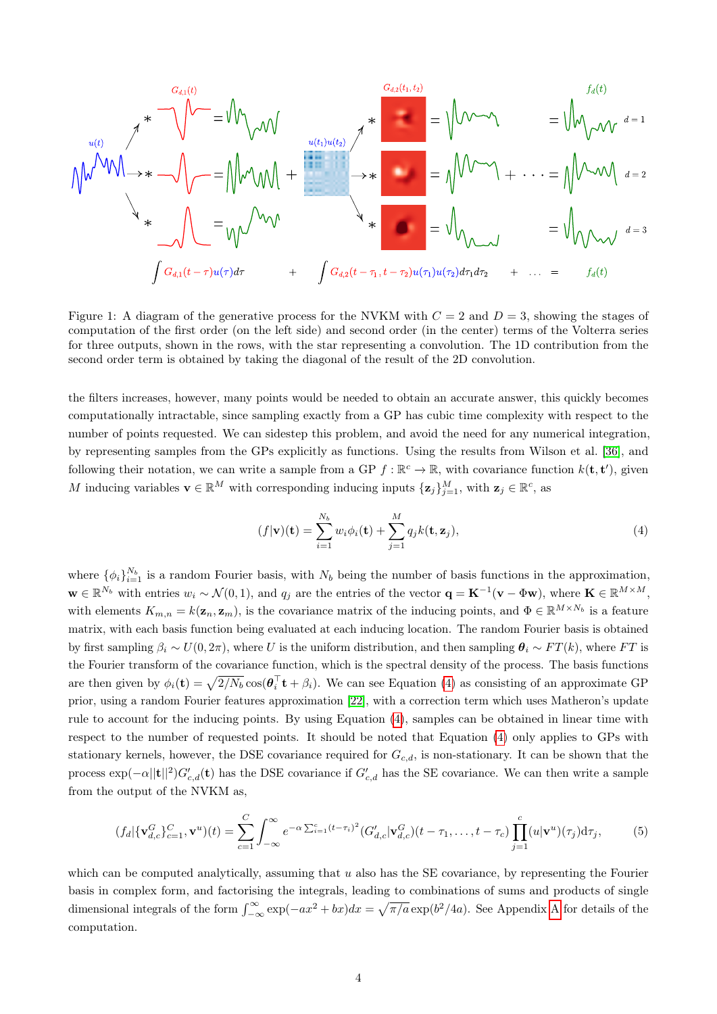$$
\mathcal{M}^{U(t)}\downarrow \mathcal{M}^{V(t)}\downarrow \mathcal{M}^{V(t)} = \mathcal{M}^{U(t)}\downarrow \mathcal{M}^{V(t)}\downarrow \mathcal{M}^{V(t)}\downarrow \mathcal{M}^{V(t)}\downarrow \mathcal{M}^{V(t)}\downarrow \mathcal{M}^{V(t)}\downarrow \mathcal{M}^{V(t)}\downarrow \mathcal{M}^{V(t)}\downarrow \mathcal{M}^{V(t)}\downarrow \mathcal{M}^{V(t)}\downarrow \mathcal{M}^{V(t)}\downarrow \mathcal{M}^{V(t)}\downarrow \mathcal{M}^{V(t)}\downarrow \mathcal{M}^{V(t)}\downarrow \mathcal{M}^{V(t)}\downarrow \mathcal{M}^{V(t)}\downarrow \mathcal{M}^{V(t)}\downarrow \mathcal{M}^{V(t)}\downarrow \mathcal{M}^{V(t)}\downarrow \mathcal{M}^{V(t)}\downarrow \mathcal{M}^{V(t)}\downarrow \mathcal{M}^{V(t)}\downarrow \mathcal{M}^{V(t)}\downarrow \mathcal{M}^{V(t)}\downarrow \mathcal{M}^{V(t)}\downarrow \mathcal{M}^{V(t)}\downarrow \mathcal{M}^{V(t)}\downarrow \mathcal{M}^{V(t)}\downarrow \mathcal{M}^{V(t)}\downarrow \mathcal{M}^{V(t)}\downarrow \mathcal{M}^{V(t)}\downarrow \mathcal{M}^{V(t)}\downarrow \mathcal{M}^{V(t)}\downarrow \mathcal{M}^{V(t)}\downarrow \mathcal{M}^{V(t)}\downarrow \mathcal{M}^{V(t)}\downarrow \mathcal{M}^{V(t)}\downarrow \mathcal{M}^{V(t)}\downarrow \mathcal{M}^{V(t)}\downarrow \mathcal{M}^{V(t)}\downarrow \mathcal{M}^{V(t)}\downarrow \mathcal{M}^{V(t)}\downarrow \mathcal{M}^{V(t)}\downarrow \mathcal{M}^{V(t)}\downarrow \mathcal{M}^{V(t)}\downarrow \mathcal{M}^{V(t)}\downarrow \mathcal{M}^{V(t)}\downarrow \mathcal{M}^{V(t)}\downarrow \mathcal{M}^{V(t)}\downarrow \mathcal{M}^{V(t)}\downarrow \mathcal{M}^{V(t)}\downarrow \mathcal{M}^{V(t)}\downarrow \mathcal{M}^{V(t)}\downarrow \mathcal{M}^{V(t)}\downarrow \mathcal{M}^{V(t)}\downarrow \mathcal{M}^{V
$$

<span id="page-3-0"></span>Figure 1: A diagram of the generative process for the NVKM with  $C = 2$  and  $D = 3$ , showing the stages of computation of the first order (on the left side) and second order (in the center) terms of the Volterra series for three outputs, shown in the rows, with the star representing a convolution. The 1D contribution from the second order term is obtained by taking the diagonal of the result of the 2D convolution.

the filters increases, however, many points would be needed to obtain an accurate answer, this quickly becomes computationally intractable, since sampling exactly from a GP has cubic time complexity with respect to the number of points requested. We can sidestep this problem, and avoid the need for any numerical integration, by representing samples from the GPs explicitly as functions. Using the results from Wilson et al. [\[36\]](#page-11-3), and following their notation, we can write a sample from a GP  $f : \mathbb{R}^c \to \mathbb{R}$ , with covariance function  $k(\mathbf{t}, \mathbf{t}')$ , given M inducing variables  $\mathbf{v} \in \mathbb{R}^M$  with corresponding inducing inputs  $\{\mathbf{z}_j\}_{j=1}^M$ , with  $\mathbf{z}_j \in \mathbb{R}^c$ , as

<span id="page-3-1"></span>
$$
(f|\mathbf{v})(\mathbf{t}) = \sum_{i=1}^{N_b} w_i \phi_i(\mathbf{t}) + \sum_{j=1}^{M} q_j k(\mathbf{t}, \mathbf{z}_j),
$$
\n(4)

where  $\{\phi_i\}_{i=1}^{N_b}$  is a random Fourier basis, with  $N_b$  being the number of basis functions in the approximation,  $\mathbf{w} \in \mathbb{R}^{N_b}$  with entries  $w_i \sim \mathcal{N}(0, 1)$ , and  $q_j$  are the entries of the vector  $\mathbf{q} = \mathbf{K}^{-1}(\mathbf{v} - \Phi \mathbf{w})$ , where  $\mathbf{K} \in \mathbb{R}^{M \times M}$ , with elements  $K_{m,n} = k(\mathbf{z}_n, \mathbf{z}_m)$ , is the covariance matrix of the inducing points, and  $\Phi \in \mathbb{R}^{M \times N_b}$  is a feature matrix, with each basis function being evaluated at each inducing location. The random Fourier basis is obtained by first sampling  $\beta_i \sim U(0, 2\pi)$ , where U is the uniform distribution, and then sampling  $\theta_i \sim FT(k)$ , where FT is the Fourier transform of the covariance function, which is the spectral density of the process. The basis functions are then given by  $\phi_i(\mathbf{t}) = \sqrt{2/N_b} \cos(\theta_i^{\top} \mathbf{t} + \beta_i)$ . We can see Equation [\(4\)](#page-3-1) as consisting of an approximate GP prior, using a random Fourier features approximation [\[22\]](#page-11-7), with a correction term which uses Matheron's update rule to account for the inducing points. By using Equation [\(4\)](#page-3-1), samples can be obtained in linear time with respect to the number of requested points. It should be noted that Equation [\(4\)](#page-3-1) only applies to GPs with stationary kernels, however, the DSE covariance required for  $G_{c,d}$ , is non-stationary. It can be shown that the process  $\exp(-\alpha ||\mathbf{t}||^2) G'_{c,d}(\mathbf{t})$  has the DSE covariance if  $G'_{c,d}$  has the SE covariance. We can then write a sample from the output of the NVKM as,

$$
(f_d|\{\mathbf{v}_{d,c}^G\}_{c=1}^C,\mathbf{v}^u)(t) = \sum_{c=1}^C \int_{-\infty}^{\infty} e^{-\alpha \sum_{i=1}^c (t-\tau_i)^2} (G'_{d,c}|\mathbf{v}_{d,c}^G)(t-\tau_1,\ldots,t-\tau_c) \prod_{j=1}^c (u|\mathbf{v}^u)(\tau_j) d\tau_j, \tag{5}
$$

which can be computed analytically, assuming that  $u$  also has the SE covariance, by representing the Fourier basis in complex form, and factorising the integrals, leading to combinations of sums and products of single dimensional integrals of the form  $\int_{-\infty}^{\infty} \exp(-ax^2 + bx)dx = \sqrt{\pi/a} \exp(b^2/4a)$ . See [A](#page-12-0)ppendix A for details of the computation.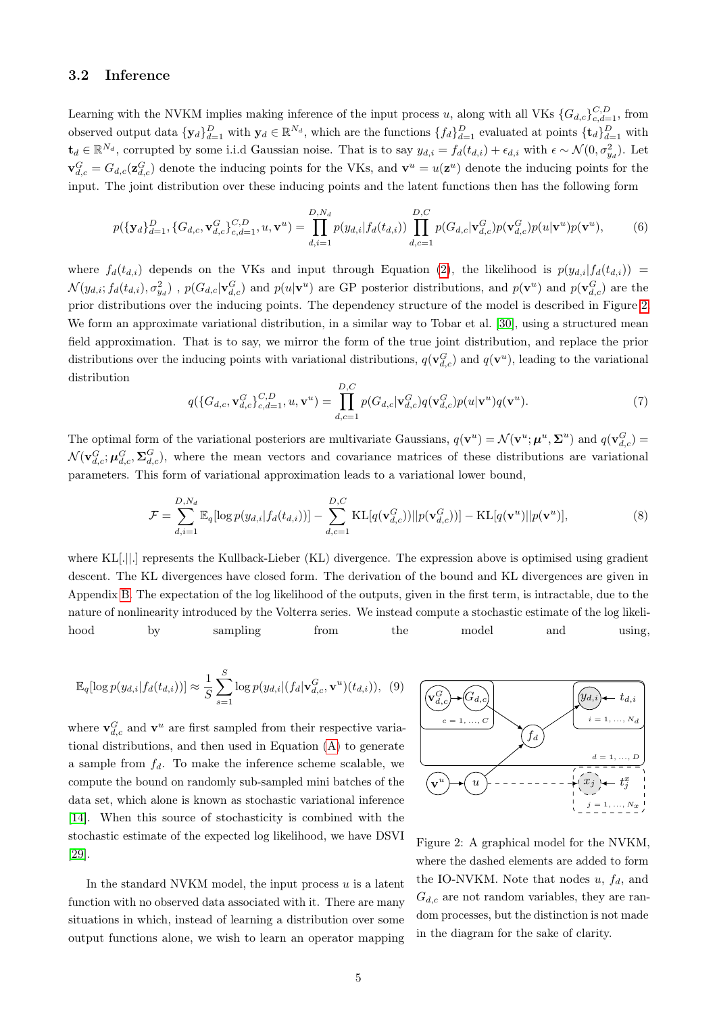#### 3.2 Inference

Learning with the NVKM implies making inference of the input process u, along with all VKs  $\{G_{d,c}\}_{c,d=1}^{C,D}$ , from observed output data  $\{y_d\}_{d=1}^D$  with  $y_d \in \mathbb{R}^{N_d}$ , which are the functions  $\{f_d\}_{d=1}^D$  evaluated at points  $\{\mathbf{t}_d\}_{d=1}^D$  with  $\mathbf{t}_d \in \mathbb{R}^{N_d}$ , corrupted by some i.i.d Gaussian noise. That is to say  $y_{d,i} = f_d(t_{d,i}) + \epsilon_{d,i}$  with  $\epsilon \sim \mathcal{N}(0, \sigma_{y_d}^2)$ . Let  $\mathbf{v}_{d,c}^G = G_{d,c}(\mathbf{z}_{d,c}^G)$  denote the inducing points for the VKs, and  $\mathbf{v}^u = u(\mathbf{z}^u)$  denote the inducing points for the input. The joint distribution over these inducing points and the latent functions then has the following form

$$
p(\{\mathbf{y}_d\}_{d=1}^D, \{G_{d,c}, \mathbf{v}_{d,c}^G\}_{c,d=1}^{C,D}, u, \mathbf{v}^u) = \prod_{d,i=1}^{D,N_d} p(y_{d,i}|f_d(t_{d,i})) \prod_{d,c=1}^{D,C} p(G_{d,c}|\mathbf{v}_{d,c}^G) p(\mathbf{v}_{d,c}^G) p(u|\mathbf{v}^u) p(\mathbf{v}^u),
$$
(6)

where  $f_d(t_{d,i})$  depends on the VKs and input through Equation [\(2\)](#page-2-1), the likelihood is  $p(y_{d,i}|f_d(t_{d,i}))$  =  $\mathcal{N}(y_{d,i};f_d(t_{d,i}),\sigma_{y_d}^2)$ ,  $p(G_{d,c}|\mathbf{v}_{d,c}^G)$  and  $p(u|\mathbf{v}^u)$  are GP posterior distributions, and  $p(\mathbf{v}^u)$  and  $p(\mathbf{v}_{d,c}^G)$  are the prior distributions over the inducing points. The dependency structure of the model is described in Figure [2.](#page-4-0) We form an approximate variational distribution, in a similar way to Tobar et al. [\[30\]](#page-11-2), using a structured mean field approximation. That is to say, we mirror the form of the true joint distribution, and replace the prior distributions over the inducing points with variational distributions,  $q(\mathbf{v}_{d,c}^G)$  and  $q(\mathbf{v}^u)$ , leading to the variational distribution

<span id="page-4-1"></span>
$$
q(\{G_{d,c}, \mathbf{v}_{d,c}^G\}_{c,d=1}^{C,D}, u, \mathbf{v}^u) = \prod_{d,c=1}^{D,C} p(G_{d,c}|\mathbf{v}_{d,c}^G)q(\mathbf{v}_{d,c}^G)p(u|\mathbf{v}^u)q(\mathbf{v}^u).
$$
\n(7)

The optimal form of the variational posteriors are multivariate Gaussians,  $q(\mathbf{v}^u) = \mathcal{N}(\mathbf{v}^u; \boldsymbol{\mu}^u, \boldsymbol{\Sigma}^u)$  and  $q(\mathbf{v}_{d,c}^G) =$  $\mathcal{N}(\mathbf{v}_{d,c}^G;\boldsymbol{\mu}_{d,c}^G,\boldsymbol{\Sigma}_{d,c}^G)$ , where the mean vectors and covariance matrices of these distributions are variational parameters. This form of variational approximation leads to a variational lower bound,

$$
\mathcal{F} = \sum_{d,i=1}^{D,N_d} \mathbb{E}_q[log p(y_{d,i}|f_d(t_{d,i}))] - \sum_{d,c=1}^{D,C} \text{KL}[q(\mathbf{v}_{d,c}^G))||p(\mathbf{v}_{d,c}^G))] - \text{KL}[q(\mathbf{v}^u)||p(\mathbf{v}^u)],\tag{8}
$$

where KL[.||.] represents the Kullback-Lieber (KL) divergence. The expression above is optimised using gradient descent. The KL divergences have closed form. The derivation of the bound and KL divergences are given in Appendix [B.](#page-15-0) The expectation of the log likelihood of the outputs, given in the first term, is intractable, due to the nature of nonlinearity introduced by the Volterra series. We instead compute a stochastic estimate of the log likelihood by sampling from the model and using,

<span id="page-4-3"></span>
$$
\mathbb{E}_{q}[\log p(y_{d,i}|f_d(t_{d,i}))] \approx \frac{1}{S} \sum_{s=1}^{S} \log p(y_{d,i}|(f_d|\mathbf{v}_{d,c}^G, \mathbf{v}^u)(t_{d,i})), \quad (9)
$$

where  $\mathbf{v}_{d,c}^G$  and  $\mathbf{v}^u$  are first sampled from their respective variational distributions, and then used in Equation [\(A\)](#page-12-0) to generate a sample from  $f_d$ . To make the inference scheme scalable, we compute the bound on randomly sub-sampled mini batches of the data set, which alone is known as stochastic variational inference [\[14\]](#page-10-7). When this source of stochasticity is combined with the stochastic estimate of the expected log likelihood, we have DSVI [\[29\]](#page-11-4).

In the standard NVKM model, the input process  $u$  is a latent function with no observed data associated with it. There are many situations in which, instead of learning a distribution over some output functions alone, we wish to learn an operator mapping

<span id="page-4-2"></span>

<span id="page-4-0"></span>Figure 2: A graphical model for the NVKM, where the dashed elements are added to form the IO-NVKM. Note that nodes  $u, f_d$ , and  $G_{d,c}$  are not random variables, they are random processes, but the distinction is not made in the diagram for the sake of clarity.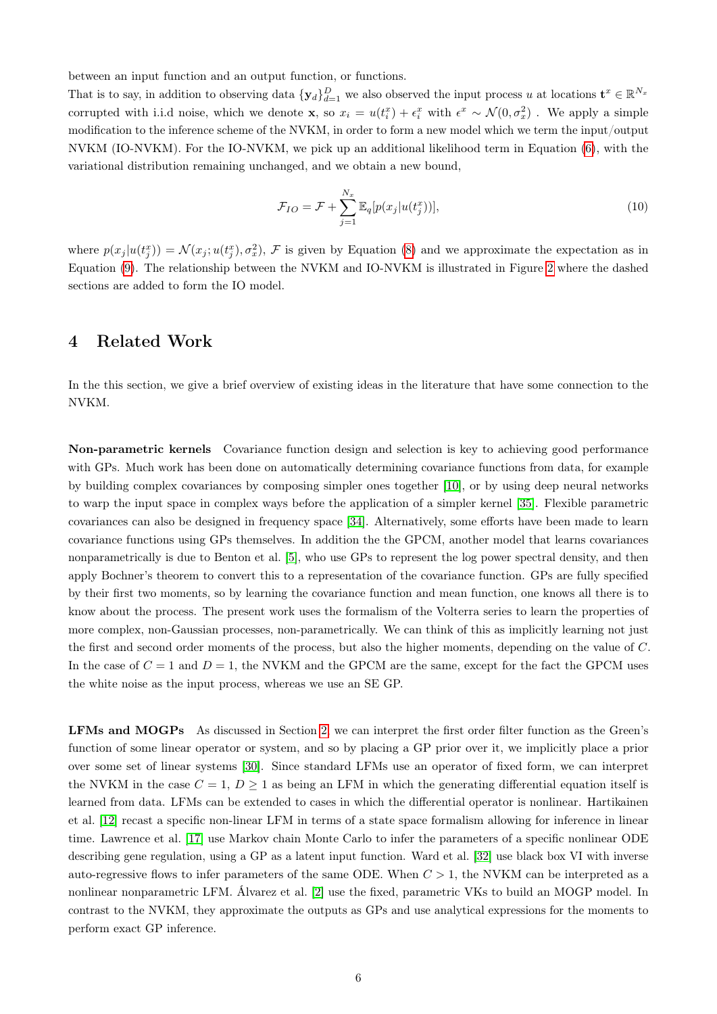between an input function and an output function, or functions.

That is to say, in addition to observing data  $\{y_d\}_{d=1}^D$  we also observed the input process u at locations  $\mathbf{t}^x \in \mathbb{R}^{N_x}$ corrupted with i.i.d noise, which we denote **x**, so  $x_i = u(t_i^x) + \epsilon_i^x$  with  $\epsilon^x \sim \mathcal{N}(0, \sigma_x^2)$ . We apply a simple modification to the inference scheme of the NVKM, in order to form a new model which we term the input/output NVKM (IO-NVKM). For the IO-NVKM, we pick up an additional likelihood term in Equation [\(6\)](#page-4-1), with the variational distribution remaining unchanged, and we obtain a new bound,

$$
\mathcal{F}_{IO} = \mathcal{F} + \sum_{j=1}^{N_x} \mathbb{E}_q[p(x_j|u(t_j^x))],\tag{10}
$$

where  $p(x_j | u(t_j^x)) = \mathcal{N}(x_j; u(t_j^x), \sigma_x^2)$ ,  $\mathcal{F}$  is given by Equation [\(8\)](#page-4-2) and we approximate the expectation as in Equation [\(9\)](#page-4-3). The relationship between the NVKM and IO-NVKM is illustrated in Figure [2](#page-4-0) where the dashed sections are added to form the IO model.

## 4 Related Work

In the this section, we give a brief overview of existing ideas in the literature that have some connection to the NVKM.

Non-parametric kernels Covariance function design and selection is key to achieving good performance with GPs. Much work has been done on automatically determining covariance functions from data, for example by building complex covariances by composing simpler ones together [\[10\]](#page-10-8), or by using deep neural networks to warp the input space in complex ways before the application of a simpler kernel [\[35\]](#page-11-8). Flexible parametric covariances can also be designed in frequency space [\[34\]](#page-11-9). Alternatively, some efforts have been made to learn covariance functions using GPs themselves. In addition the the GPCM, another model that learns covariances nonparametrically is due to Benton et al. [\[5\]](#page-10-9), who use GPs to represent the log power spectral density, and then apply Bochner's theorem to convert this to a representation of the covariance function. GPs are fully specified by their first two moments, so by learning the covariance function and mean function, one knows all there is to know about the process. The present work uses the formalism of the Volterra series to learn the properties of more complex, non-Gaussian processes, non-parametrically. We can think of this as implicitly learning not just the first and second order moments of the process, but also the higher moments, depending on the value of C. In the case of  $C = 1$  and  $D = 1$ , the NVKM and the GPCM are the same, except for the fact the GPCM uses the white noise as the input process, whereas we use an SE GP.

LFMs and MOGPs As discussed in Section [2,](#page-1-0) we can interpret the first order filter function as the Green's function of some linear operator or system, and so by placing a GP prior over it, we implicitly place a prior over some set of linear systems [\[30\]](#page-11-2). Since standard LFMs use an operator of fixed form, we can interpret the NVKM in the case  $C = 1, D \ge 1$  as being an LFM in which the generating differential equation itself is learned from data. LFMs can be extended to cases in which the differential operator is nonlinear. Hartikainen et al. [\[12\]](#page-10-10) recast a specific non-linear LFM in terms of a state space formalism allowing for inference in linear time. Lawrence et al. [\[17\]](#page-11-10) use Markov chain Monte Carlo to infer the parameters of a specific nonlinear ODE describing gene regulation, using a GP as a latent input function. Ward et al. [\[32\]](#page-11-11) use black box VI with inverse auto-regressive flows to infer parameters of the same ODE. When  $C > 1$ , the NVKM can be interpreted as a nonlinear nonparametric LFM. Álvarez et al. [\[2\]](#page-10-4) use the fixed, parametric VKs to build an MOGP model. In contrast to the NVKM, they approximate the outputs as GPs and use analytical expressions for the moments to perform exact GP inference.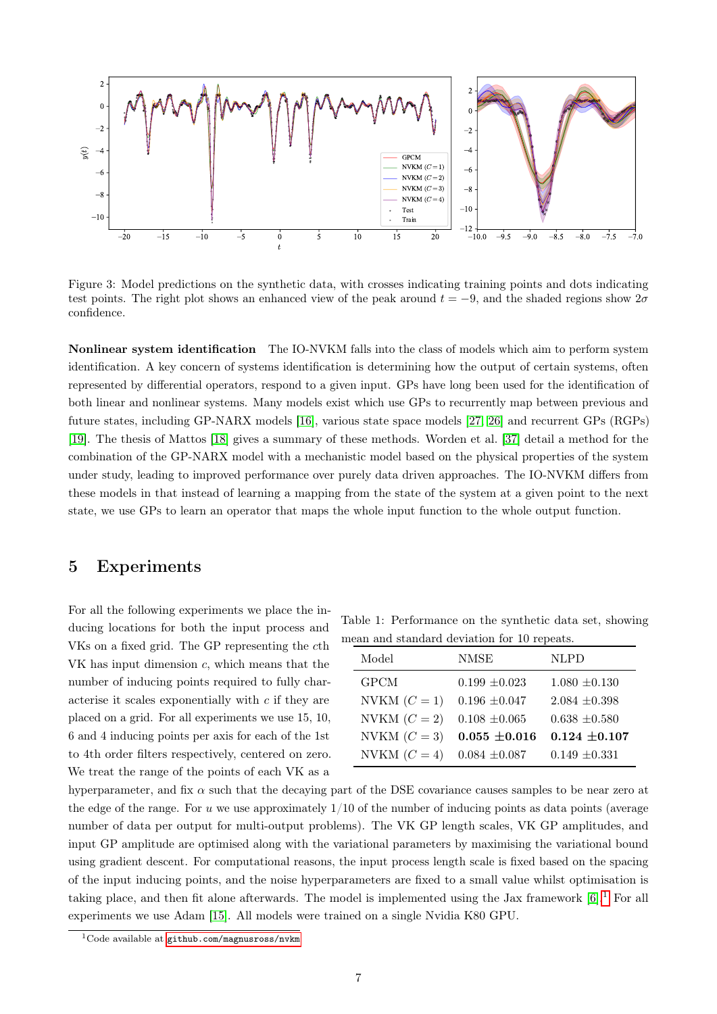

<span id="page-6-2"></span>Figure 3: Model predictions on the synthetic data, with crosses indicating training points and dots indicating test points. The right plot shows an enhanced view of the peak around  $t = -9$ , and the shaded regions show  $2\sigma$ confidence.

Nonlinear system identification The IO-NVKM falls into the class of models which aim to perform system identification. A key concern of systems identification is determining how the output of certain systems, often represented by differential operators, respond to a given input. GPs have long been used for the identification of both linear and nonlinear systems. Many models exist which use GPs to recurrently map between previous and future states, including GP-NARX models [\[16\]](#page-10-11), various state space models [\[27,](#page-11-12) [26\]](#page-11-13) and recurrent GPs (RGPs) [\[19\]](#page-11-14). The thesis of Mattos [\[18\]](#page-11-5) gives a summary of these methods. Worden et al. [\[37\]](#page-11-15) detail a method for the combination of the GP-NARX model with a mechanistic model based on the physical properties of the system under study, leading to improved performance over purely data driven approaches. The IO-NVKM differs from these models in that instead of learning a mapping from the state of the system at a given point to the next state, we use GPs to learn an operator that maps the whole input function to the whole output function.

### <span id="page-6-3"></span>5 Experiments

For all the following experiments we place the inducing locations for both the input process and VKs on a fixed grid. The GP representing the cth VK has input dimension c, which means that the number of inducing points required to fully characterise it scales exponentially with  $c$  if they are placed on a grid. For all experiments we use 15, 10, 6 and 4 inducing points per axis for each of the 1st to 4th order filters respectively, centered on zero. We treat the range of the points of each VK as a

<span id="page-6-1"></span>Table 1: Performance on the synthetic data set, showing mean and standard deviation for 10 repeats.

| Model                            | <b>NMSE</b>       | <b>NLPD</b>       |
|----------------------------------|-------------------|-------------------|
| <b>GPCM</b>                      | $0.199 \pm 0.023$ | $1.080 \pm 0.130$ |
| NVKM $(C = 1)$                   | $0.196 \pm 0.047$ | $2.084 \pm 0.398$ |
| NVKM $(C = 2)$                   | $0.108 \pm 0.065$ | $0.638 \pm 0.580$ |
| NVKM $(C=3)$                     | $0.055 \pm 0.016$ | $0.124 \pm 0.107$ |
| NVKM $(C = 4)$ 0.084 $\pm 0.087$ |                   | $0.149 \pm 0.331$ |

hyperparameter, and fix  $\alpha$  such that the decaying part of the DSE covariance causes samples to be near zero at the edge of the range. For u we use approximately  $1/10$  of the number of inducing points as data points (average number of data per output for multi-output problems). The VK GP length scales, VK GP amplitudes, and input GP amplitude are optimised along with the variational parameters by maximising the variational bound using gradient descent. For computational reasons, the input process length scale is fixed based on the spacing of the input inducing points, and the noise hyperparameters are fixed to a small value whilst optimisation is taking place, and then fit alone afterwards. The model is implemented using the Jax framework  $[6]$ <sup>[1](#page-6-0)</sup> For all experiments we use Adam [\[15\]](#page-10-13). All models were trained on a single Nvidia K80 GPU.

<span id="page-6-0"></span> $1$ Code available at [github.com/magnusross/nvkm](#page-0-0)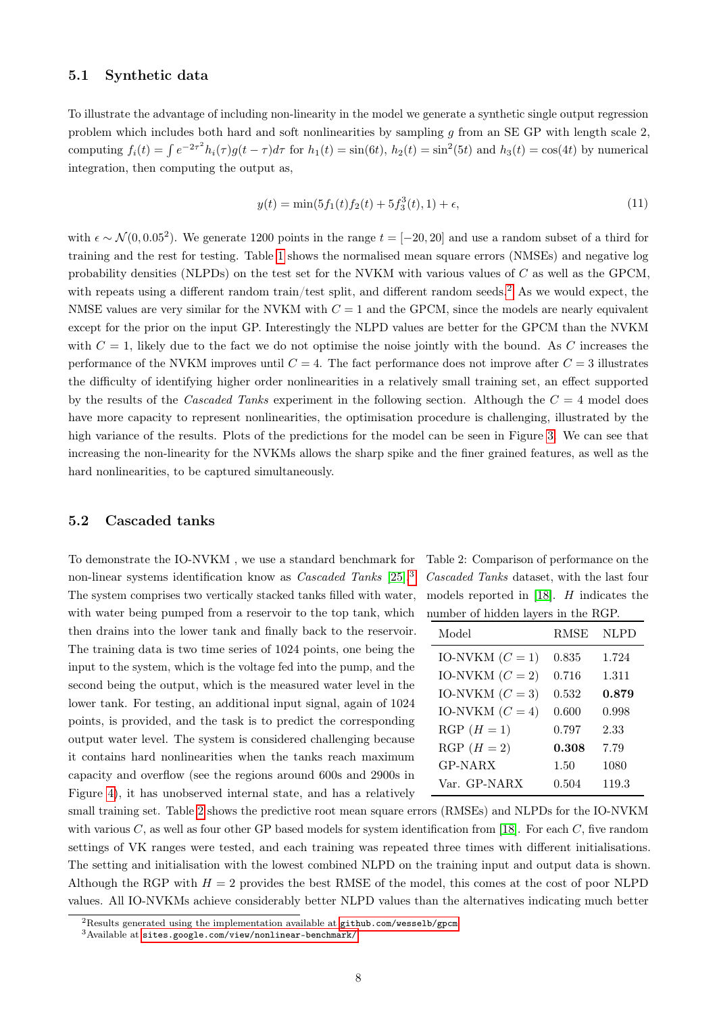#### 5.1 Synthetic data

To illustrate the advantage of including non-linearity in the model we generate a synthetic single output regression problem which includes both hard and soft nonlinearities by sampling  $g$  from an SE GP with length scale 2, computing  $f_i(t) = \int e^{-2\tau^2} h_i(\tau) g(t-\tau) d\tau$  for  $h_1(t) = \sin(6t)$ ,  $h_2(t) = \sin^2(5t)$  and  $h_3(t) = \cos(4t)$  by numerical integration, then computing the output as,

$$
y(t) = \min(5f_1(t)f_2(t) + 5f_3^3(t), 1) + \epsilon,
$$
\n(11)

with  $\epsilon \sim \mathcal{N}(0, 0.05^2)$ . We generate 1200 points in the range  $t = [-20, 20]$  and use a random subset of a third for training and the rest for testing. Table [1](#page-6-1) shows the normalised mean square errors (NMSEs) and negative log probability densities (NLPDs) on the test set for the NVKM with various values of C as well as the GPCM, with repeats using a different random train/test split, and different random seeds.<sup>[2](#page-7-0)</sup> As we would expect, the NMSE values are very similar for the NVKM with  $C = 1$  and the GPCM, since the models are nearly equivalent except for the prior on the input GP. Interestingly the NLPD values are better for the GPCM than the NVKM with  $C = 1$ , likely due to the fact we do not optimise the noise jointly with the bound. As C increases the performance of the NVKM improves until  $C = 4$ . The fact performance does not improve after  $C = 3$  illustrates the difficulty of identifying higher order nonlinearities in a relatively small training set, an effect supported by the results of the Cascaded Tanks experiment in the following section. Although the  $C = 4$  model does have more capacity to represent nonlinearities, the optimisation procedure is challenging, illustrated by the high variance of the results. Plots of the predictions for the model can be seen in Figure [3.](#page-6-2) We can see that increasing the non-linearity for the NVKMs allows the sharp spike and the finer grained features, as well as the hard nonlinearities, to be captured simultaneously.

#### 5.2 Cascaded tanks

To demonstrate the IO-NVKM , we use a standard benchmark for non-linear systems identification know as Cascaded Tanks [\[25\]](#page-11-16).[3](#page-7-1) The system comprises two vertically stacked tanks filled with water, with water being pumped from a reservoir to the top tank, which then drains into the lower tank and finally back to the reservoir. The training data is two time series of 1024 points, one being the input to the system, which is the voltage fed into the pump, and the second being the output, which is the measured water level in the lower tank. For testing, an additional input signal, again of 1024 points, is provided, and the task is to predict the corresponding output water level. The system is considered challenging because it contains hard nonlinearities when the tanks reach maximum capacity and overflow (see the regions around 600s and 2900s in Figure [4\)](#page-8-0), it has unobserved internal state, and has a relatively

<span id="page-7-2"></span>Table 2: Comparison of performance on the Cascaded Tanks dataset, with the last four models reported in [\[18\]](#page-11-5). H indicates the number of hidden layers in the RGP.

| Model             | <b>RMSE</b> | <b>NLPD</b> |
|-------------------|-------------|-------------|
| IO-NVKM $(C = 1)$ | 0.835       | 1.724       |
| IO-NVKM $(C = 2)$ | 0.716       | 1.311       |
| IO-NVKM $(C = 3)$ | 0.532       | 0.879       |
| IO-NVKM $(C = 4)$ | 0.600       | 0.998       |
| $RGP(H = 1)$      | 0.797       | 2.33        |
| $RGP(H = 2)$      | 0.308       | 7.79        |
| <b>GP-NARX</b>    | 1.50        | 1080        |
| Var. GP-NARX      | 0.504       | 119.3       |

small training set. Table [2](#page-7-2) shows the predictive root mean square errors (RMSEs) and NLPDs for the IO-NVKM with various  $C$ , as well as four other GP based models for system identification from [\[18\]](#page-11-5). For each  $C$ , five random settings of VK ranges were tested, and each training was repeated three times with different initialisations. The setting and initialisation with the lowest combined NLPD on the training input and output data is shown. Although the RGP with  $H = 2$  provides the best RMSE of the model, this comes at the cost of poor NLPD values. All IO-NVKMs achieve considerably better NLPD values than the alternatives indicating much better

<span id="page-7-0"></span><sup>&</sup>lt;sup>2</sup>Results generated using the implementation available at [github.com/wesselb/gpcm](#page-0-0)

<span id="page-7-1"></span> $^3\!$  Available at [sites.google.com/view/nonlinear-benchmark/](#page-0-0)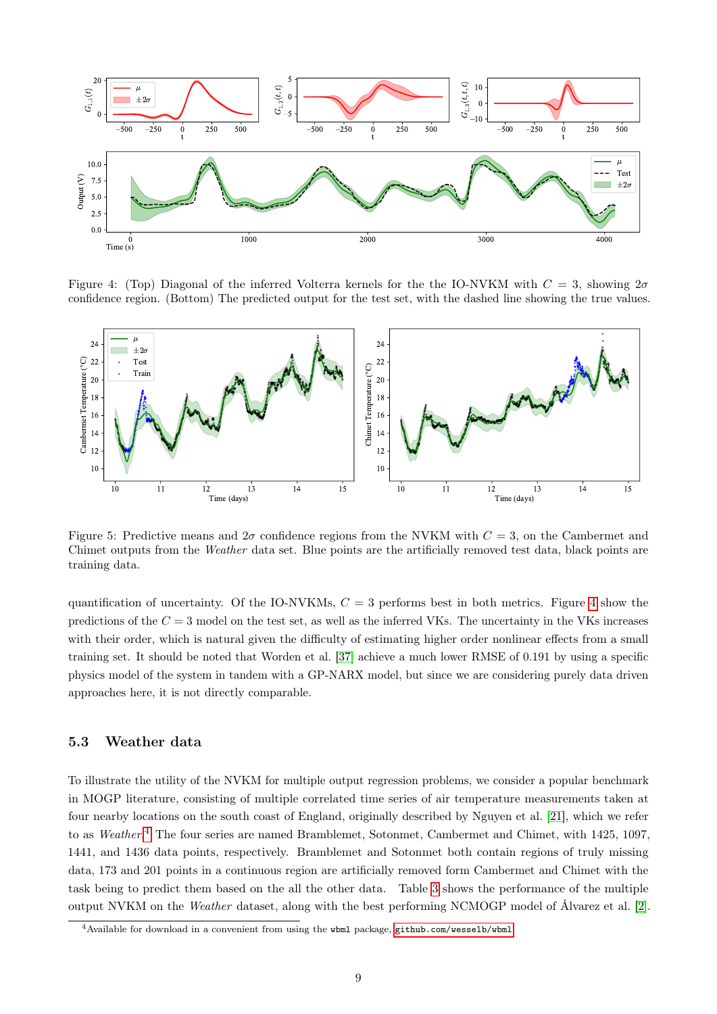

<span id="page-8-0"></span>Figure 4: (Top) Diagonal of the inferred Volterra kernels for the the IO-NVKM with  $C = 3$ , showing  $2\sigma$ confidence region. (Bottom) The predicted output for the test set, with the dashed line showing the true values.



Figure 5: Predictive means and  $2\sigma$  confidence regions from the NVKM with  $C = 3$ , on the Cambermet and Chimet outputs from the Weather data set. Blue points are the artificially removed test data, black points are training data.

quantification of uncertainty. Of the IO-NVKMs,  $C = 3$  performs best in both metrics. Figure [4](#page-8-0) show the predictions of the  $C = 3$  model on the test set, as well as the inferred VKs. The uncertainty in the VKs increases with their order, which is natural given the difficulty of estimating higher order nonlinear effects from a small training set. It should be noted that Worden et al. [\[37\]](#page-11-15) achieve a much lower RMSE of 0.191 by using a specific physics model of the system in tandem with a GP-NARX model, but since we are considering purely data driven approaches here, it is not directly comparable.

#### 5.3 Weather data

To illustrate the utility of the NVKM for multiple output regression problems, we consider a popular benchmark in MOGP literature, consisting of multiple correlated time series of air temperature measurements taken at four nearby locations on the south coast of England, originally described by Nguyen et al. [\[21\]](#page-11-17), which we refer to as Weather.<sup>[4](#page-8-1)</sup> The four series are named Bramblemet, Sotonmet, Cambermet and Chimet, with 1425, 1097, 1441, and 1436 data points, respectively. Bramblemet and Sotonmet both contain regions of truly missing data, 173 and 201 points in a continuous region are artificially removed form Cambermet and Chimet with the task being to predict them based on the all the other data. Table [3](#page-9-0) shows the performance of the multiple output NVKM on the Weather dataset, along with the best performing NCMOGP model of Álvarez et al. [\[2\]](#page-10-4).

<span id="page-8-1"></span> $\frac{4}{3}$  Available for download in a convenient from using the wbml package, [github.com/wesselb/wbml](#page-0-0)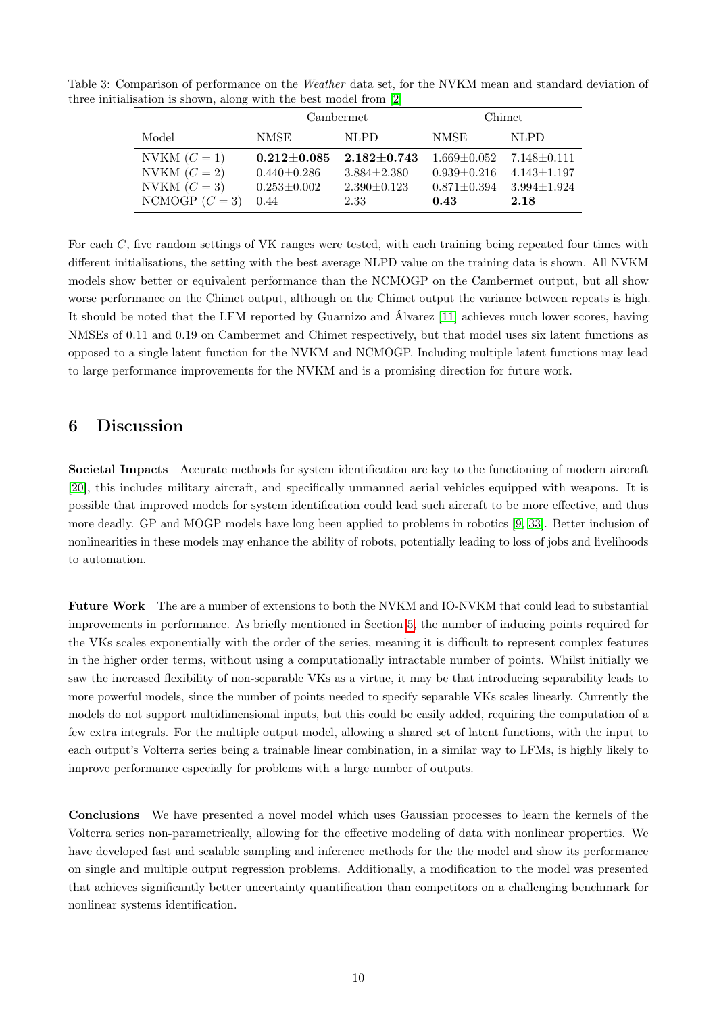Table 3: Comparison of performance on the Weather data set, for the NVKM mean and standard deviation of three initialisation is shown, along with the best model from [\[2\]](#page-10-4)

<span id="page-9-0"></span>

|                  | Cambermet         |                   | Chimet            |                   |
|------------------|-------------------|-------------------|-------------------|-------------------|
| Model            | NMSE              | NLPD.             | <b>NMSE</b>       | <b>NLPD</b>       |
| NVKM $(C = 1)$   | $0.212 \pm 0.085$ | $2.182 \pm 0.743$ | $1.669 \pm 0.052$ | $7.148 \pm 0.111$ |
| NVKM $(C = 2)$   | $0.440 \pm 0.286$ | $3.884 \pm 2.380$ | $0.939 \pm 0.216$ | $4.143 \pm 1.197$ |
| NVKM $(C=3)$     | $0.253 \pm 0.002$ | $2.390 \pm 0.123$ | $0.871 \pm 0.394$ | $3.994 \pm 1.924$ |
| NCMOGP $(C = 3)$ | 0.44              | 2.33              | 0.43              | 2.18              |

For each C, five random settings of VK ranges were tested, with each training being repeated four times with different initialisations, the setting with the best average NLPD value on the training data is shown. All NVKM models show better or equivalent performance than the NCMOGP on the Cambermet output, but all show worse performance on the Chimet output, although on the Chimet output the variance between repeats is high. It should be noted that the LFM reported by Guarnizo and Álvarez [\[11\]](#page-10-14) achieves much lower scores, having NMSEs of 0.11 and 0.19 on Cambermet and Chimet respectively, but that model uses six latent functions as opposed to a single latent function for the NVKM and NCMOGP. Including multiple latent functions may lead to large performance improvements for the NVKM and is a promising direction for future work.

### 6 Discussion

Societal Impacts Accurate methods for system identification are key to the functioning of modern aircraft [\[20\]](#page-11-18), this includes military aircraft, and specifically unmanned aerial vehicles equipped with weapons. It is possible that improved models for system identification could lead such aircraft to be more effective, and thus more deadly. GP and MOGP models have long been applied to problems in robotics [\[9,](#page-10-15) [33\]](#page-11-19). Better inclusion of nonlinearities in these models may enhance the ability of robots, potentially leading to loss of jobs and livelihoods to automation.

Future Work The are a number of extensions to both the NVKM and IO-NVKM that could lead to substantial improvements in performance. As briefly mentioned in Section [5,](#page-6-3) the number of inducing points required for the VKs scales exponentially with the order of the series, meaning it is difficult to represent complex features in the higher order terms, without using a computationally intractable number of points. Whilst initially we saw the increased flexibility of non-separable VKs as a virtue, it may be that introducing separability leads to more powerful models, since the number of points needed to specify separable VKs scales linearly. Currently the models do not support multidimensional inputs, but this could be easily added, requiring the computation of a few extra integrals. For the multiple output model, allowing a shared set of latent functions, with the input to each output's Volterra series being a trainable linear combination, in a similar way to LFMs, is highly likely to improve performance especially for problems with a large number of outputs.

Conclusions We have presented a novel model which uses Gaussian processes to learn the kernels of the Volterra series non-parametrically, allowing for the effective modeling of data with nonlinear properties. We have developed fast and scalable sampling and inference methods for the the model and show its performance on single and multiple output regression problems. Additionally, a modification to the model was presented that achieves significantly better uncertainty quantification than competitors on a challenging benchmark for nonlinear systems identification.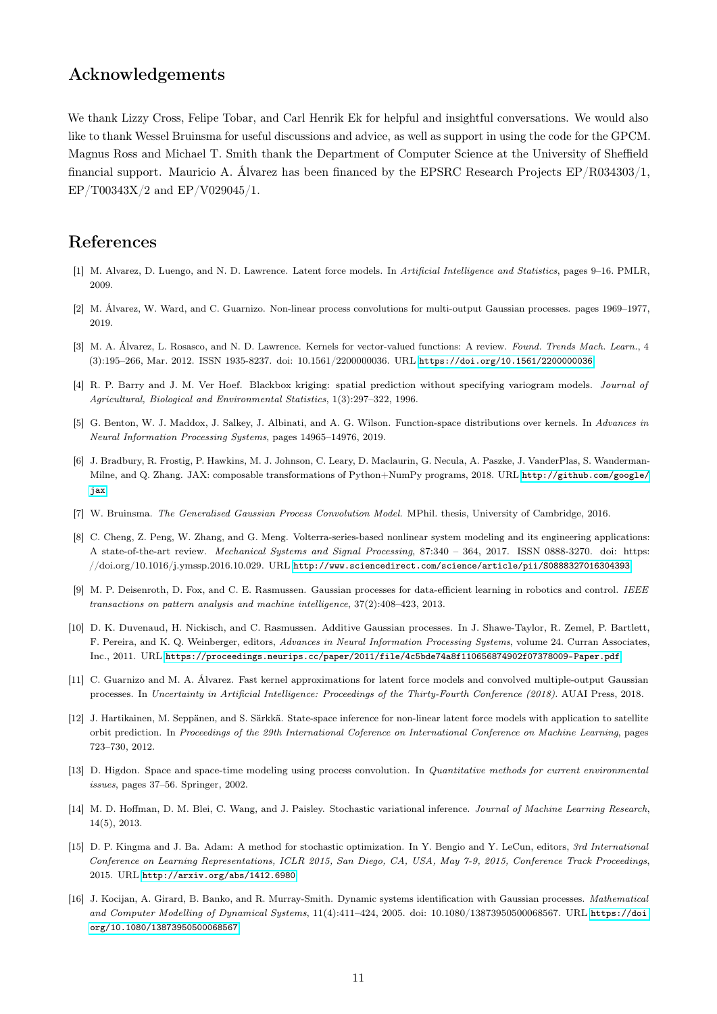# Acknowledgements

We thank Lizzy Cross, Felipe Tobar, and Carl Henrik Ek for helpful and insightful conversations. We would also like to thank Wessel Bruinsma for useful discussions and advice, as well as support in using the code for the GPCM. Magnus Ross and Michael T. Smith thank the Department of Computer Science at the University of Sheffield financial support. Mauricio A. Álvarez has been financed by the EPSRC Research Projects EP/R034303/1, EP/T00343X/2 and EP/V029045/1.

## References

- <span id="page-10-3"></span>[1] M. Alvarez, D. Luengo, and N. D. Lawrence. Latent force models. In Artificial Intelligence and Statistics, pages 9–16. PMLR, 2009.
- <span id="page-10-4"></span>[2] M. Álvarez, W. Ward, and C. Guarnizo. Non-linear process convolutions for multi-output Gaussian processes. pages 1969–1977, 2019.
- <span id="page-10-2"></span>[3] M. A. Álvarez, L. Rosasco, and N. D. Lawrence. Kernels for vector-valued functions: A review. Found. Trends Mach. Learn., 4 (3):195–266, Mar. 2012. ISSN 1935-8237. doi: 10.1561/2200000036. URL <https://doi.org/10.1561/2200000036>.
- <span id="page-10-0"></span>[4] R. P. Barry and J. M. Ver Hoef. Blackbox kriging: spatial prediction without specifying variogram models. Journal of Agricultural, Biological and Environmental Statistics, 1(3):297–322, 1996.
- <span id="page-10-9"></span>[5] G. Benton, W. J. Maddox, J. Salkey, J. Albinati, and A. G. Wilson. Function-space distributions over kernels. In Advances in Neural Information Processing Systems, pages 14965–14976, 2019.
- <span id="page-10-12"></span>[6] J. Bradbury, R. Frostig, P. Hawkins, M. J. Johnson, C. Leary, D. Maclaurin, G. Necula, A. Paszke, J. VanderPlas, S. Wanderman-Milne, and Q. Zhang. JAX: composable transformations of Python+NumPy programs, 2018. URL [http://github.com/google/](http://github.com/google/jax) [jax](http://github.com/google/jax).
- <span id="page-10-6"></span>[7] W. Bruinsma. The Generalised Gaussian Process Convolution Model. MPhil. thesis, University of Cambridge, 2016.
- <span id="page-10-5"></span>[8] C. Cheng, Z. Peng, W. Zhang, and G. Meng. Volterra-series-based nonlinear system modeling and its engineering applications: A state-of-the-art review. *Mechanical Systems and Signal Processing,* 87:340 – 364, 2017. ISSN 0888-3270, doi: https: //doi.org/10.1016/j.ymssp.2016.10.029. URL <http://www.sciencedirect.com/science/article/pii/S0888327016304393>.
- <span id="page-10-15"></span>[9] M. P. Deisenroth, D. Fox, and C. E. Rasmussen. Gaussian processes for data-efficient learning in robotics and control. IEEE transactions on pattern analysis and machine intelligence, 37(2):408–423, 2013.
- <span id="page-10-8"></span>[10] D. K. Duvenaud, H. Nickisch, and C. Rasmussen. Additive Gaussian processes. In J. Shawe-Taylor, R. Zemel, P. Bartlett, F. Pereira, and K. Q. Weinberger, editors, Advances in Neural Information Processing Systems, volume 24. Curran Associates, Inc., 2011. URL <https://proceedings.neurips.cc/paper/2011/file/4c5bde74a8f110656874902f07378009-Paper.pdf>.
- <span id="page-10-14"></span>[11] C. Guarnizo and M. A. Álvarez. Fast kernel approximations for latent force models and convolved multiple-output Gaussian processes. In Uncertainty in Artificial Intelligence: Proceedings of the Thirty-Fourth Conference (2018). AUAI Press, 2018.
- <span id="page-10-10"></span>[12] J. Hartikainen, M. Seppänen, and S. Särkkä. State-space inference for non-linear latent force models with application to satellite orbit prediction. In Proceedings of the 29th International Coference on International Conference on Machine Learning, pages 723–730, 2012.
- <span id="page-10-1"></span>[13] D. Higdon. Space and space-time modeling using process convolution. In Quantitative methods for current environmental issues, pages 37–56. Springer, 2002.
- <span id="page-10-7"></span>[14] M. D. Hoffman, D. M. Blei, C. Wang, and J. Paisley. Stochastic variational inference. Journal of Machine Learning Research, 14(5), 2013.
- <span id="page-10-13"></span>[15] D. P. Kingma and J. Ba. Adam: A method for stochastic optimization. In Y. Bengio and Y. LeCun, editors, 3rd International Conference on Learning Representations, ICLR 2015, San Diego, CA, USA, May 7-9, 2015, Conference Track Proceedings, 2015. URL <http://arxiv.org/abs/1412.6980>.
- <span id="page-10-11"></span>[16] J. Kocijan, A. Girard, B. Banko, and R. Murray-Smith. Dynamic systems identification with Gaussian processes. Mathematical and Computer Modelling of Dynamical Systems, 11(4):411–424, 2005. doi: 10.1080/13873950500068567. URL [https://doi.](https://doi.org/10.1080/13873950500068567) [org/10.1080/13873950500068567](https://doi.org/10.1080/13873950500068567).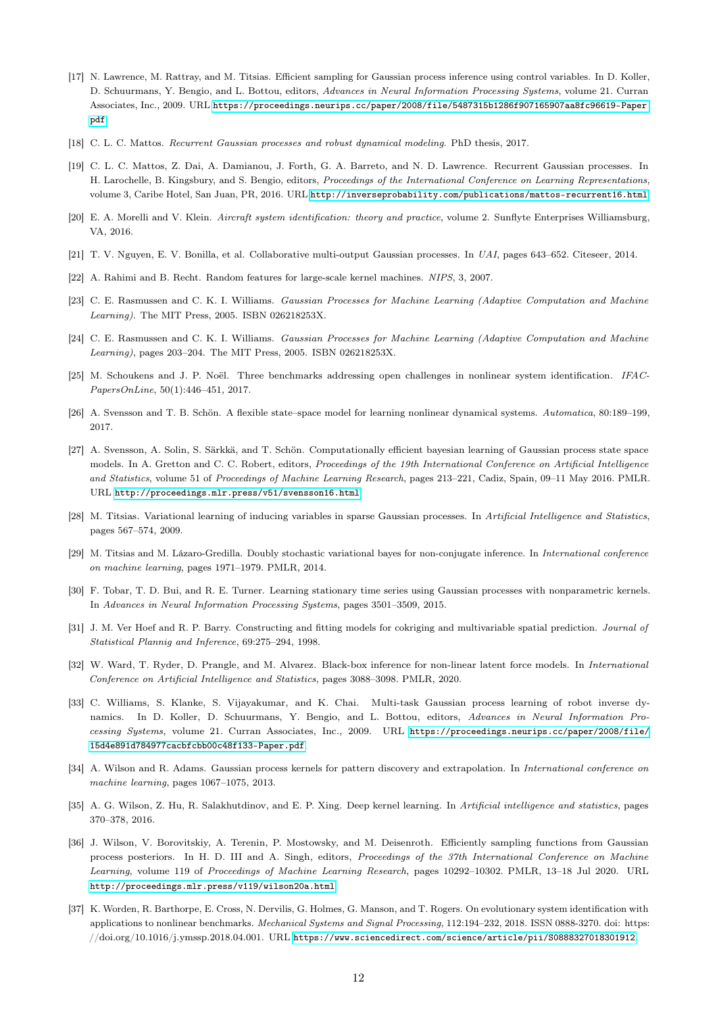- <span id="page-11-10"></span>[17] N. Lawrence, M. Rattray, and M. Titsias. Efficient sampling for Gaussian process inference using control variables. In D. Koller, D. Schuurmans, Y. Bengio, and L. Bottou, editors, Advances in Neural Information Processing Systems, volume 21. Curran Associates, Inc., 2009. URL [https://proceedings.neurips.cc/paper/2008/file/5487315b1286f907165907aa8fc96619-Paper.](https://proceedings.neurips.cc/paper/2008/file/5487315b1286f907165907aa8fc96619-Paper.pdf) [pdf](https://proceedings.neurips.cc/paper/2008/file/5487315b1286f907165907aa8fc96619-Paper.pdf).
- <span id="page-11-5"></span>[18] C. L. C. Mattos. Recurrent Gaussian processes and robust dynamical modeling. PhD thesis, 2017.
- <span id="page-11-14"></span>[19] C. L. C. Mattos, Z. Dai, A. Damianou, J. Forth, G. A. Barreto, and N. D. Lawrence. Recurrent Gaussian processes. In H. Larochelle, B. Kingsbury, and S. Bengio, editors, Proceedings of the International Conference on Learning Representations, volume 3, Caribe Hotel, San Juan, PR, 2016. URL <http://inverseprobability.com/publications/mattos-recurrent16.html>.
- <span id="page-11-18"></span>[20] E. A. Morelli and V. Klein. Aircraft system identification: theory and practice, volume 2. Sunflyte Enterprises Williamsburg, VA, 2016.
- <span id="page-11-17"></span>[21] T. V. Nguyen, E. V. Bonilla, et al. Collaborative multi-output Gaussian processes. In UAI, pages 643–652. Citeseer, 2014.
- <span id="page-11-7"></span>[22] A. Rahimi and B. Recht. Random features for large-scale kernel machines. NIPS, 3, 2007.
- <span id="page-11-0"></span>[23] C. E. Rasmussen and C. K. I. Williams. Gaussian Processes for Machine Learning (Adaptive Computation and Machine Learning). The MIT Press, 2005. ISBN 026218253X.
- <span id="page-11-20"></span>[24] C. E. Rasmussen and C. K. I. Williams. Gaussian Processes for Machine Learning (Adaptive Computation and Machine Learning), pages 203–204. The MIT Press, 2005. ISBN 026218253X.
- <span id="page-11-16"></span>[25] M. Schoukens and J. P. Noël. Three benchmarks addressing open challenges in nonlinear system identification. IFAC-PapersOnLine, 50(1):446–451, 2017.
- <span id="page-11-13"></span>[26] A. Svensson and T. B. Schön. A flexible state–space model for learning nonlinear dynamical systems. Automatica, 80:189–199, 2017.
- <span id="page-11-12"></span>[27] A. Svensson, A. Solin, S. Särkkä, and T. Schön. Computationally efficient bayesian learning of Gaussian process state space models. In A. Gretton and C. C. Robert, editors, Proceedings of the 19th International Conference on Artificial Intelligence and Statistics, volume 51 of Proceedings of Machine Learning Research, pages 213–221, Cadiz, Spain, 09–11 May 2016. PMLR. URL <http://proceedings.mlr.press/v51/svensson16.html>.
- <span id="page-11-6"></span>[28] M. Titsias. Variational learning of inducing variables in sparse Gaussian processes. In Artificial Intelligence and Statistics, pages 567–574, 2009.
- <span id="page-11-4"></span>[29] M. Titsias and M. Lázaro-Gredilla. Doubly stochastic variational bayes for non-conjugate inference. In International conference on machine learning, pages 1971–1979. PMLR, 2014.
- <span id="page-11-2"></span>[30] F. Tobar, T. D. Bui, and R. E. Turner. Learning stationary time series using Gaussian processes with nonparametric kernels. In Advances in Neural Information Processing Systems, pages 3501–3509, 2015.
- <span id="page-11-1"></span>[31] J. M. Ver Hoef and R. P. Barry. Constructing and fitting models for cokriging and multivariable spatial prediction. Journal of Statistical Plannig and Inference, 69:275–294, 1998.
- <span id="page-11-11"></span>[32] W. Ward, T. Ryder, D. Prangle, and M. Alvarez. Black-box inference for non-linear latent force models. In International Conference on Artificial Intelligence and Statistics, pages 3088–3098. PMLR, 2020.
- <span id="page-11-19"></span>[33] C. Williams, S. Klanke, S. Vijayakumar, and K. Chai. Multi-task Gaussian process learning of robot inverse dynamics. In D. Koller, D. Schuurmans, Y. Bengio, and L. Bottou, editors, Advances in Neural Information Processing Systems, volume 21. Curran Associates, Inc., 2009. URL [https://proceedings.neurips.cc/paper/2008/file/](https://proceedings.neurips.cc/paper/2008/file/15d4e891d784977cacbfcbb00c48f133-Paper.pdf) [15d4e891d784977cacbfcbb00c48f133-Paper.pdf](https://proceedings.neurips.cc/paper/2008/file/15d4e891d784977cacbfcbb00c48f133-Paper.pdf).
- <span id="page-11-9"></span>[34] A. Wilson and R. Adams. Gaussian process kernels for pattern discovery and extrapolation. In International conference on machine learning, pages 1067–1075, 2013.
- <span id="page-11-8"></span>[35] A. G. Wilson, Z. Hu, R. Salakhutdinov, and E. P. Xing. Deep kernel learning. In Artificial intelligence and statistics, pages 370–378, 2016.
- <span id="page-11-3"></span>[36] J. Wilson, V. Borovitskiy, A. Terenin, P. Mostowsky, and M. Deisenroth. Efficiently sampling functions from Gaussian process posteriors. In H. D. III and A. Singh, editors, Proceedings of the 37th International Conference on Machine Learning, volume 119 of Proceedings of Machine Learning Research, pages 10292–10302. PMLR, 13–18 Jul 2020. URL <http://proceedings.mlr.press/v119/wilson20a.html>.
- <span id="page-11-15"></span>[37] K. Worden, R. Barthorpe, E. Cross, N. Dervilis, G. Holmes, G. Manson, and T. Rogers. On evolutionary system identification with applications to nonlinear benchmarks. Mechanical Systems and Signal Processing, 112:194–232, 2018. ISSN 0888-3270. doi: https:  $\frac{1}{\d{1}}$  //doi.org/10.1016/j.ymssp.2018.04.001. URL <https://www.sciencedirect.com/science/article/pii/S0888327018301912>.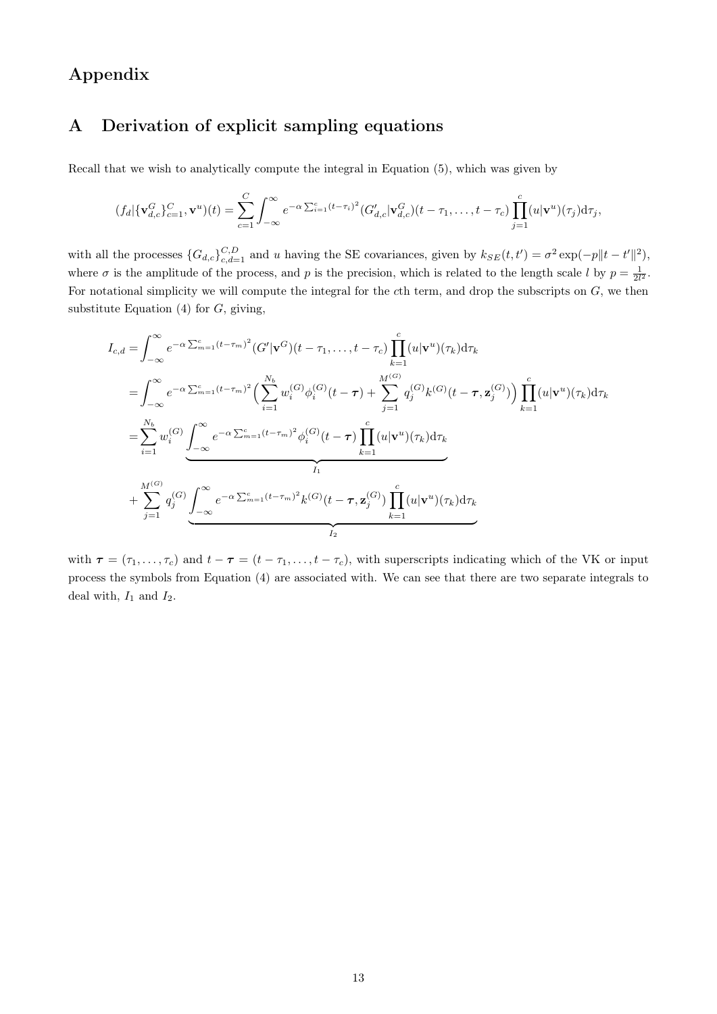# Appendix

# <span id="page-12-0"></span>A Derivation of explicit sampling equations

Recall that we wish to analytically compute the integral in Equation (5), which was given by

$$
(f_d|\{\mathbf{v}_{d,c}^G\}_{c=1}^C,\mathbf{v}^u)(t)=\sum_{c=1}^C\int_{-\infty}^{\infty}e^{-\alpha\sum_{i=1}^c(t-\tau_i)^2}(G'_{d,c}|\mathbf{v}_{d,c}^G)(t-\tau_1,\ldots,t-\tau_c)\prod_{j=1}^c(u|\mathbf{v}^u)(\tau_j)d\tau_j,
$$

with all the processes  $\{G_{d,c}\}_{c,d=1}^{C,D}$  and u having the SE covariances, given by  $k_{SE}(t, t') = \sigma^2 \exp(-p||t - t'||^2)$ , where  $\sigma$  is the amplitude of the process, and p is the precision, which is related to the length scale l by  $p = \frac{1}{2l^2}$ . For notational simplicity we will compute the integral for the cth term, and drop the subscripts on G, we then substitute Equation  $(4)$  for  $G$ , giving,

$$
I_{c,d} = \int_{-\infty}^{\infty} e^{-\alpha \sum_{m=1}^{c} (t-\tau_m)^2} (G'|\mathbf{v}^G)(t-\tau_1,\ldots,t-\tau_c) \prod_{k=1}^{c} (u|\mathbf{v}^u)(\tau_k) d\tau_k
$$
  
\n
$$
= \int_{-\infty}^{\infty} e^{-\alpha \sum_{m=1}^{c} (t-\tau_m)^2} \Big( \sum_{i=1}^{N_b} w_i^{(G)} \phi_i^{(G)}(t-\tau) + \sum_{j=1}^{M^{(G)}} q_j^{(G)} k^{(G)}(t-\tau, \mathbf{z}_j^{(G)}) \Big) \prod_{k=1}^{c} (u|\mathbf{v}^u)(\tau_k) d\tau_k
$$
  
\n
$$
= \sum_{i=1}^{N_b} w_i^{(G)} \underbrace{\int_{-\infty}^{\infty} e^{-\alpha \sum_{m=1}^{c} (t-\tau_m)^2} \phi_i^{(G)}(t-\tau) \prod_{k=1}^{c} (u|\mathbf{v}^u)(\tau_k) d\tau_k}_{I_1}
$$
  
\n
$$
+ \sum_{j=1}^{M^{(G)}} q_j^{(G)} \underbrace{\int_{-\infty}^{\infty} e^{-\alpha \sum_{m=1}^{c} (t-\tau_m)^2} k^{(G)}(t-\tau, \mathbf{z}_j^{(G)}) \prod_{k=1}^{c} (u|\mathbf{v}^u)(\tau_k) d\tau_k}_{I_2}
$$

with  $\tau = (\tau_1, \ldots, \tau_c)$  and  $t - \tau = (t - \tau_1, \ldots, t - \tau_c)$ , with superscripts indicating which of the VK or input process the symbols from Equation (4) are associated with. We can see that there are two separate integrals to deal with,  $I_1$  and  $I_2$ .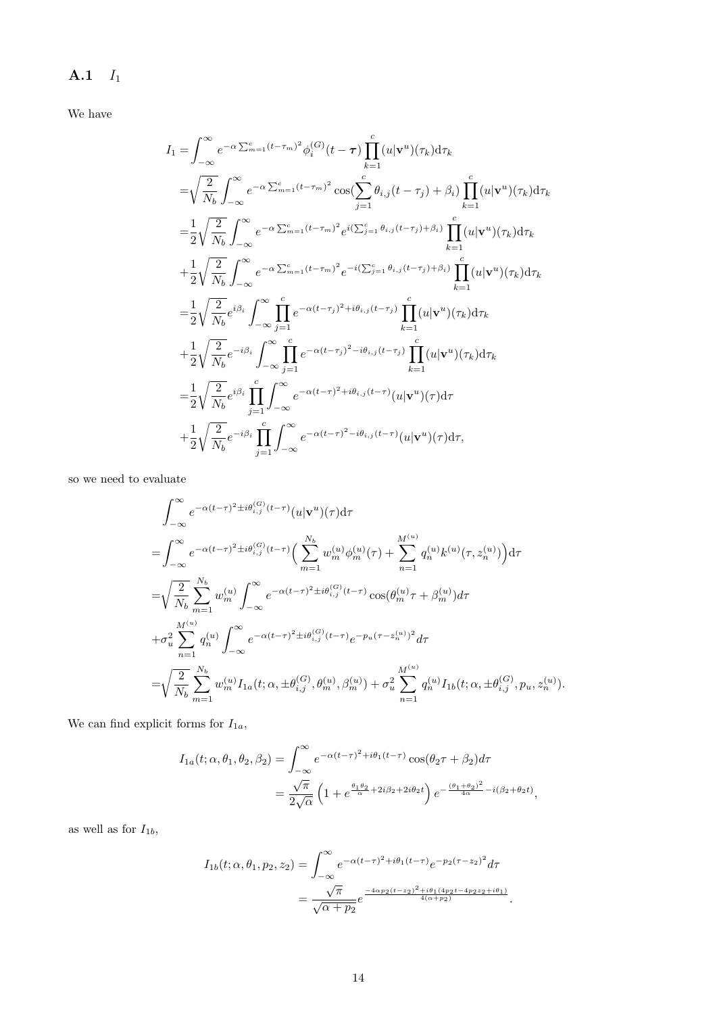# $A.1$   $I_1$

We have

$$
I_{1} = \int_{-\infty}^{\infty} e^{-\alpha \sum_{m=1}^{c} (t-\tau_{m})^{2}} \phi_{i}^{(G)}(t-\tau) \prod_{k=1}^{c} (u|\mathbf{v}^{u})(\tau_{k}) d\tau_{k}
$$
  
\n
$$
= \sqrt{\frac{2}{N_{b}}} \int_{-\infty}^{\infty} e^{-\alpha \sum_{m=1}^{c} (t-\tau_{m})^{2}} \cos(\sum_{j=1}^{c} \theta_{i,j}(t-\tau_{j}) + \beta_{i}) \prod_{k=1}^{c} (u|\mathbf{v}^{u})(\tau_{k}) d\tau_{k}
$$
  
\n
$$
= \frac{1}{2} \sqrt{\frac{2}{N_{b}}} \int_{-\infty}^{\infty} e^{-\alpha \sum_{m=1}^{c} (t-\tau_{m})^{2}} e^{i(\sum_{j=1}^{c} \theta_{i,j}(t-\tau_{j}) + \beta_{i})} \prod_{k=1}^{c} (u|\mathbf{v}^{u})(\tau_{k}) d\tau_{k}
$$
  
\n
$$
+ \frac{1}{2} \sqrt{\frac{2}{N_{b}}} \int_{-\infty}^{\infty} e^{-\alpha \sum_{m=1}^{c} (t-\tau_{m})^{2}} e^{-i(\sum_{j=1}^{c} \theta_{i,j}(t-\tau_{j}) + \beta_{i})} \prod_{k=1}^{c} (u|\mathbf{v}^{u})(\tau_{k}) d\tau_{k}
$$
  
\n
$$
= \frac{1}{2} \sqrt{\frac{2}{N_{b}}} e^{i\beta_{i}} \int_{-\infty}^{\infty} \prod_{j=1}^{c} e^{-\alpha(t-\tau_{j})^{2} + i\theta_{i,j}(t-\tau_{j})} \prod_{k=1}^{c} (u|\mathbf{v}^{u})(\tau_{k}) d\tau_{k}
$$
  
\n
$$
+ \frac{1}{2} \sqrt{\frac{2}{N_{b}}} e^{-i\beta_{i}} \int_{-\infty}^{\infty} \prod_{j=1}^{c} e^{-\alpha(t-\tau_{j})^{2} - i\theta_{i,j}(t-\tau_{j})} \prod_{k=1}^{c} (u|\mathbf{v}^{u})(\tau_{k}) d\tau_{k}
$$
  
\n
$$
= \frac{1}{2} \sqrt{\frac{2}{N_{b}}} e^{i\beta_{i}} \prod_{j=1}^{c} \int_{
$$

so we need to evaluate

$$
\begin{split}\n&\int_{-\infty}^{\infty} e^{-\alpha(t-\tau)^{2} \pm i\theta_{i,j}^{(G)}(t-\tau)} (u|\mathbf{v}^{u})(\tau) d\tau \\
&= \int_{-\infty}^{\infty} e^{-\alpha(t-\tau)^{2} \pm i\theta_{i,j}^{(G)}(t-\tau)} \Big( \sum_{m=1}^{N_{b}} w_{m}^{(u)} \phi_{m}^{(u)}(\tau) + \sum_{n=1}^{M^{(u)}} q_{n}^{(u)} k^{(u)}(\tau, z_{n}^{(u)}) \Big) d\tau \\
&= \sqrt{\frac{2}{N_{b}}} \sum_{m=1}^{N_{b}} w_{m}^{(u)} \int_{-\infty}^{\infty} e^{-\alpha(t-\tau)^{2} \pm i\theta_{i,j}^{(G)}(t-\tau)} \cos(\theta_{m}^{(u)} \tau + \beta_{m}^{(u)}) d\tau \\
&+ \sigma_{u}^{2} \sum_{n=1}^{M^{(u)}} q_{n}^{(u)} \int_{-\infty}^{\infty} e^{-\alpha(t-\tau)^{2} \pm i\theta_{i,j}^{(G)}(t-\tau)} e^{-p_{u}(\tau - z_{n}^{(u)})^{2}} d\tau \\
&= \sqrt{\frac{2}{N_{b}}} \sum_{m=1}^{N_{b}} w_{m}^{(u)} I_{1a}(t; \alpha, \pm \theta_{i,j}^{(G)}, \theta_{m}^{(u)}, \beta_{m}^{(u)}) + \sigma_{u}^{2} \sum_{n=1}^{M^{(u)}} q_{n}^{(u)} I_{1b}(t; \alpha, \pm \theta_{i,j}^{(G)}, p_{u}, z_{n}^{(u)}) .\n\end{split}
$$

We can find explicit forms for  ${\cal I}_{1a},$ 

$$
I_{1a}(t; \alpha, \theta_1, \theta_2, \beta_2) = \int_{-\infty}^{\infty} e^{-\alpha(t-\tau)^2 + i\theta_1(t-\tau)} \cos(\theta_2 \tau + \beta_2) d\tau
$$
  
= 
$$
\frac{\sqrt{\pi}}{2\sqrt{\alpha}} \left(1 + e^{\frac{\theta_1 \theta_2}{\alpha} + 2i\beta_2 + 2i\theta_2 t}\right) e^{-\frac{(\theta_1 + \theta_2)^2}{4\alpha} - i(\beta_2 + \theta_2 t)},
$$

as well as for  $I_{1b}$ ,

$$
I_{1b}(t; \alpha, \theta_1, p_2, z_2) = \int_{-\infty}^{\infty} e^{-\alpha(t-\tau)^2 + i\theta_1(t-\tau)} e^{-p_2(\tau-z_2)^2} d\tau
$$
  
= 
$$
\frac{\sqrt{\pi}}{\sqrt{\alpha + p_2}} e^{-\frac{4\alpha p_2(t-z_2)^2 + i\theta_1(4p_2t - 4p_2z_2 + i\theta_1)}{4(\alpha + p_2)}}.
$$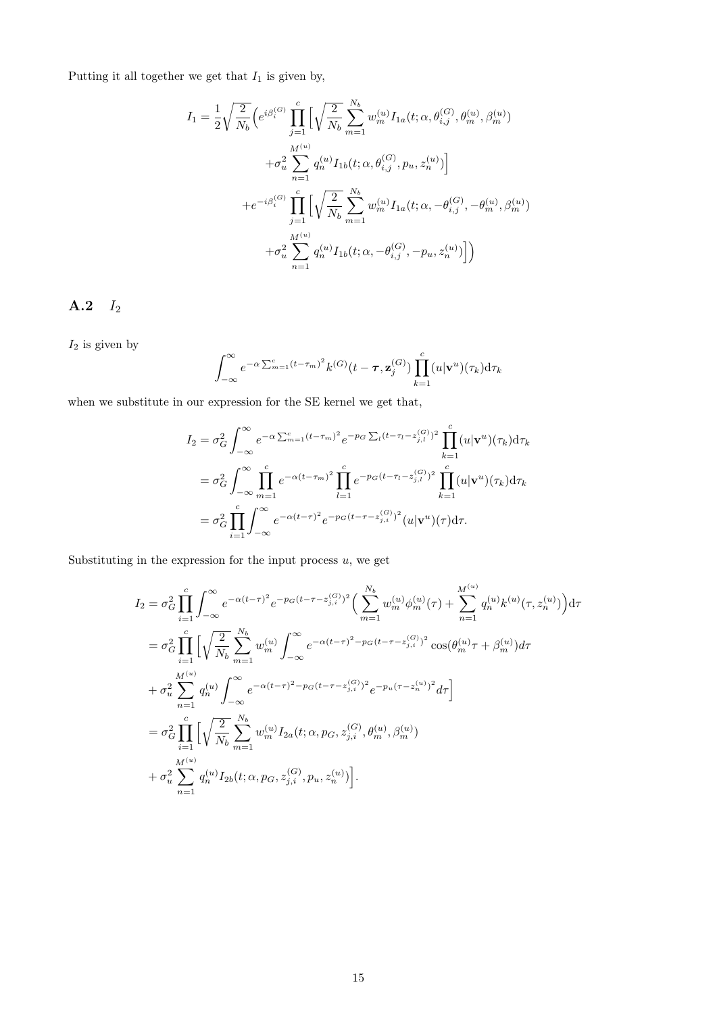Putting it all together we get that  $I_1$  is given by,

$$
I_{1} = \frac{1}{2} \sqrt{\frac{2}{N_{b}}} \Big( e^{i\beta_{i}^{(G)}} \prod_{j=1}^{c} \Big[ \sqrt{\frac{2}{N_{b}}} \sum_{m=1}^{N_{b}} w_{m}^{(u)} I_{1a}(t; \alpha, \theta_{i,j}^{(G)}, \theta_{m}^{(u)}, \beta_{m}^{(u)})
$$

$$
+ \sigma_{u}^{2} \sum_{n=1}^{M^{(u)}} q_{n}^{(u)} I_{1b}(t; \alpha, \theta_{i,j}^{(G)}, p_{u}, z_{n}^{(u)}) \Big]
$$

$$
+ e^{-i\beta_{i}^{(G)}} \prod_{j=1}^{c} \Big[ \sqrt{\frac{2}{N_{b}}} \sum_{m=1}^{N_{b}} w_{m}^{(u)} I_{1a}(t; \alpha, -\theta_{i,j}^{(G)}, -\theta_{m}^{(u)}, \beta_{m}^{(u)})
$$

$$
+ \sigma_{u}^{2} \sum_{n=1}^{M^{(u)}} q_{n}^{(u)} I_{1b}(t; \alpha, -\theta_{i,j}^{(G)}, -p_{u}, z_{n}^{(u)}) \Big] \Big)
$$

A.2 I<sup>2</sup>

 $I_2$  is given by

$$
\int_{-\infty}^{\infty} e^{-\alpha \sum_{m=1}^{c} (t-\tau_m)^2} k^{(G)}(t-\tau,\mathbf{z}_{j}^{(G)}) \prod_{k=1}^{c} (u|\mathbf{v}^u)(\tau_k) d\tau_k
$$

when we substitute in our expression for the SE kernel we get that,

$$
I_2 = \sigma_G^2 \int_{-\infty}^{\infty} e^{-\alpha \sum_{m=1}^c (t - \tau_m)^2} e^{-p_G \sum_l (t - \tau_l - z_{j,l}^{(G)})^2} \prod_{k=1}^c (u | \mathbf{v}^u)(\tau_k) d\tau_k
$$
  
\n
$$
= \sigma_G^2 \int_{-\infty}^{\infty} \prod_{m=1}^c e^{-\alpha (t - \tau_m)^2} \prod_{l=1}^c e^{-p_G (t - \tau_l - z_{j,l}^{(G)})^2} \prod_{k=1}^c (u | \mathbf{v}^u)(\tau_k) d\tau_k
$$
  
\n
$$
= \sigma_G^2 \prod_{i=1}^c \int_{-\infty}^{\infty} e^{-\alpha (t - \tau)^2} e^{-p_G (t - \tau - z_{j,i}^{(G)})^2} (u | \mathbf{v}^u)(\tau) d\tau.
$$

Substituting in the expression for the input process  $u$ , we get

$$
I_{2} = \sigma_{G}^{2} \prod_{i=1}^{c} \int_{-\infty}^{\infty} e^{-\alpha(t-\tau)^{2}} e^{-p_{G}(t-\tau-z_{j,i}^{(G)})^{2}} \Big( \sum_{m=1}^{N_{b}} w_{m}^{(u)} \phi_{m}^{(u)}(\tau) + \sum_{n=1}^{M^{(u)}} q_{n}^{(u)} k^{(u)}(\tau, z_{n}^{(u)}) \Big) d\tau
$$
  
\n
$$
= \sigma_{G}^{2} \prod_{i=1}^{c} \Big[ \sqrt{\frac{2}{N_{b}}} \sum_{m=1}^{N_{b}} w_{m}^{(u)} \int_{-\infty}^{\infty} e^{-\alpha(t-\tau)^{2} - p_{G}(t-\tau-z_{j,i}^{(G)})^{2}} \cos(\theta_{m}^{(u)}\tau + \beta_{m}^{(u)}) d\tau
$$
  
\n
$$
+ \sigma_{u}^{2} \sum_{n=1}^{M^{(u)}} q_{n}^{(u)} \int_{-\infty}^{\infty} e^{-\alpha(t-\tau)^{2} - p_{G}(t-\tau-z_{j,i}^{(G)})^{2}} e^{-p_{u}(\tau-z_{n}^{(u)})^{2}} d\tau \Big]
$$
  
\n
$$
= \sigma_{G}^{2} \prod_{i=1}^{c} \Big[ \sqrt{\frac{2}{N_{b}}} \sum_{m=1}^{N_{b}} w_{m}^{(u)} I_{2a}(t; \alpha, p_{G}, z_{j,i}^{(G)}, \theta_{m}^{(u)}, \beta_{m}^{(u)})
$$
  
\n
$$
+ \sigma_{u}^{2} \sum_{n=1}^{M^{(u)}} q_{n}^{(u)} I_{2b}(t; \alpha, p_{G}, z_{j,i}^{(G)}, p_{u}, z_{n}^{(u)}) \Big].
$$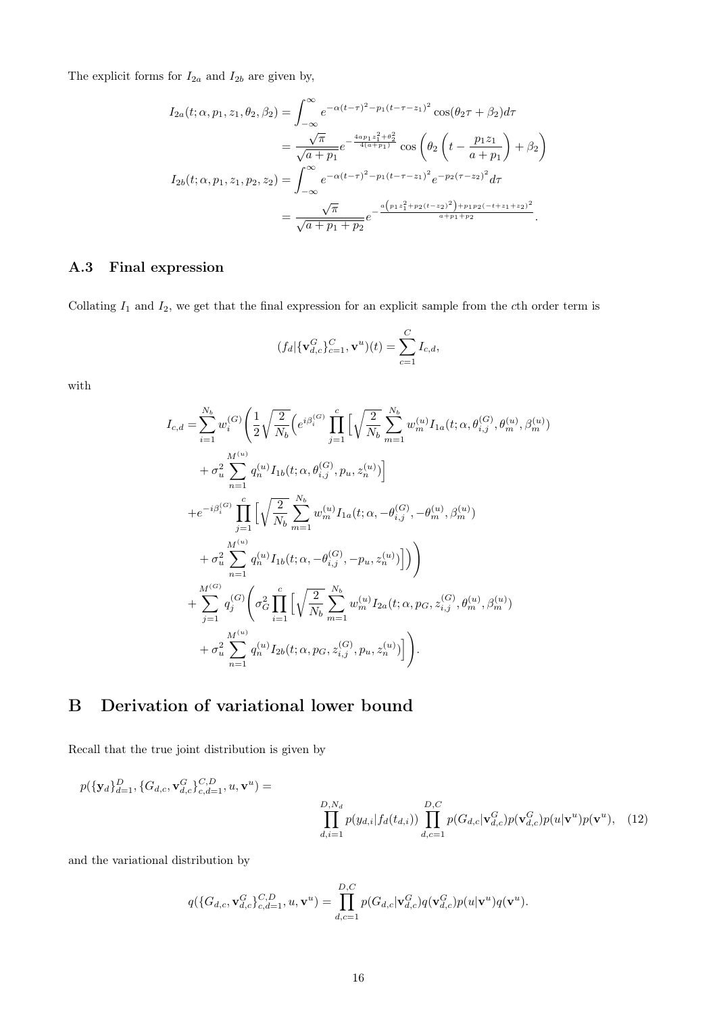The explicit forms for  $I_{2a}$  and  $I_{2b}$  are given by,

$$
I_{2a}(t; \alpha, p_1, z_1, \theta_2, \beta_2) = \int_{-\infty}^{\infty} e^{-\alpha(t-\tau)^2 - p_1(t-\tau-z_1)^2} \cos(\theta_2 \tau + \beta_2) d\tau
$$
  
\n
$$
= \frac{\sqrt{\pi}}{\sqrt{a+p_1}} e^{-\frac{4ap_1 z_1^2 + \theta_2^2}{4(a+p_1)}} \cos(\theta_2 \left(t - \frac{p_1 z_1}{a+p_1}\right) + \beta_2)
$$
  
\n
$$
I_{2b}(t; \alpha, p_1, z_1, p_2, z_2) = \int_{-\infty}^{\infty} e^{-\alpha(t-\tau)^2 - p_1(t-\tau-z_1)^2} e^{-p_2(\tau-z_2)^2} d\tau
$$
  
\n
$$
= \frac{\sqrt{\pi}}{\sqrt{a+p_1+p_2}} e^{-\frac{a\left(p_1 z_1^2 + p_2(t-z_2)^2\right) + p_1 p_2(-t+z_1+z_2)^2}{a+p_1+p_2}}.
$$

### A.3 Final expression

Collating  $I_1$  and  $I_2$ , we get that the final expression for an explicit sample from the cth order term is

$$
(f_d|\{\mathbf{v}_{d,c}^G\}_{c=1}^C,\mathbf{v}^u)(t)=\sum_{c=1}^C I_{c,d},
$$

with

$$
I_{c,d} = \sum_{i=1}^{N_b} w_i^{(G)} \left( \frac{1}{2} \sqrt{\frac{2}{N_b}} \left( e^{i\beta_i^{(G)}} \prod_{j=1}^c \left[ \sqrt{\frac{2}{N_b}} \sum_{m=1}^{N_b} w_m^{(u)} I_{1a}(t; \alpha, \theta_{i,j}^{(G)}, \theta_m^{(u)}, \beta_m^{(u)}) \right] \right. \\ \left. + \sigma_u^2 \sum_{n=1}^{M^{(u)}} q_n^{(u)} I_{1b}(t; \alpha, \theta_{i,j}^{(G)}, p_u, z_n^{(u)}) \right] \\ + e^{-i\beta_i^{(G)}} \prod_{j=1}^c \left[ \sqrt{\frac{2}{N_b}} \sum_{m=1}^{N_b} w_m^{(u)} I_{1a}(t; \alpha, -\theta_{i,j}^{(G)}, -\theta_m^{(u)}, \beta_m^{(u)}) \right. \\ \left. + \sigma_u^2 \sum_{n=1}^{M^{(u)}} q_n^{(u)} I_{1b}(t; \alpha, -\theta_{i,j}^{(G)}, -p_u, z_n^{(u)}) \right] \right) \\ + \sum_{j=1}^{M^{(G)}} q_j^{(G)} \left( \sigma_G^2 \prod_{i=1}^c \left[ \sqrt{\frac{2}{N_b}} \sum_{m=1}^{N_b} w_m^{(u)} I_{2a}(t; \alpha, p_G, z_{i,j}^{(G)}, \theta_m^{(u)}, \beta_m^{(u)}) \right. \\ \left. + \sigma_u^2 \sum_{n=1}^{M^{(u)}} q_n^{(u)} I_{2b}(t; \alpha, p_G, z_{i,j}^{(G)}, p_u, z_n^{(u)}) \right] \right).
$$

# <span id="page-15-0"></span>B Derivation of variational lower bound

Recall that the true joint distribution is given by

$$
p(\{\mathbf{y}_d\}_{d=1}^D, \{G_{d,c}, \mathbf{v}_{d,c}^G\}_{c,d=1}^{C,D}, u, \mathbf{v}^u) =
$$
  

$$
\prod_{d,i=1}^{D,N_d} p(y_{d,i}|f_d(t_{d,i})) \prod_{d,c=1}^{D,C} p(G_{d,c}|\mathbf{v}_{d,c}^G) p(\mathbf{v}_{d,c}^G) p(u|\mathbf{v}^u) p(\mathbf{v}^u), \quad (12)
$$

and the variational distribution by

$$
q(\{G_{d,c}, \mathbf{v}_{d,c}^G\}_{c,d=1}^{C,D}, u, \mathbf{v}^u) = \prod_{d,c=1}^{D,C} p(G_{d,c}|\mathbf{v}_{d,c}^G)q(\mathbf{v}_{d,c}^G)p(u|\mathbf{v}^u)q(\mathbf{v}^u).
$$